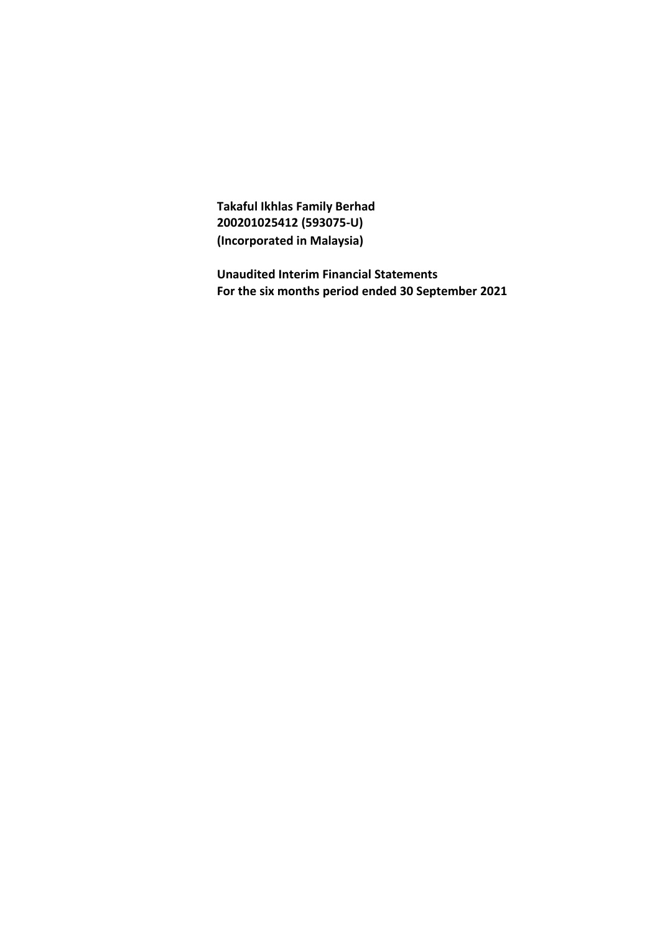**Takaful Ikhlas Family Berhad 200201025412 (593075-U) (Incorporated in Malaysia)**

**Unaudited Interim Financial Statements For the six months period ended 30 September 2021**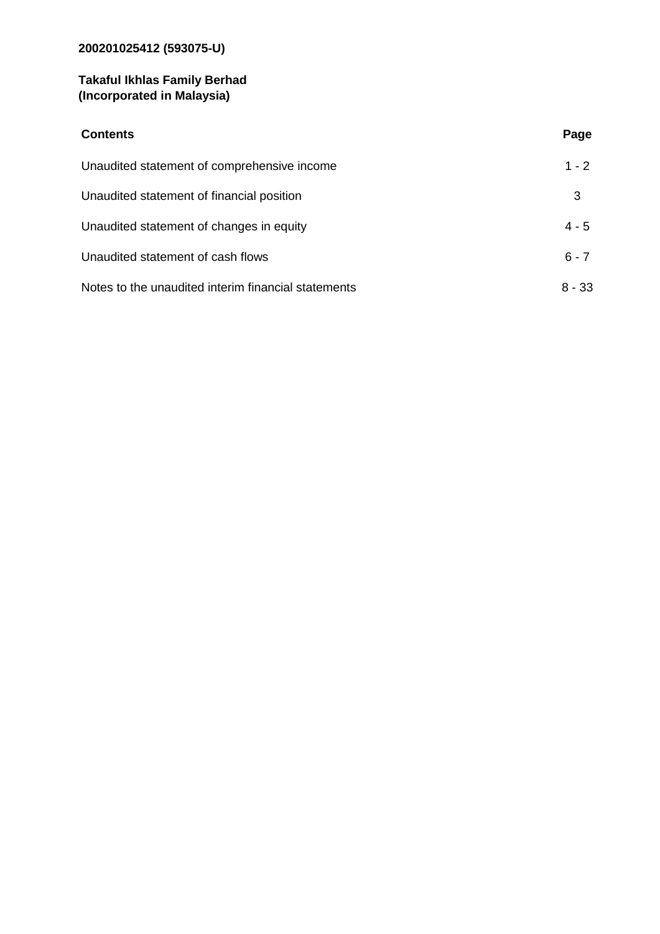# **200201025412 (593075-U)**

### **Takaful Ikhlas Family Berhad (Incorporated in Malaysia)**

| <b>Contents</b>                                     | Page     |
|-----------------------------------------------------|----------|
| Unaudited statement of comprehensive income         | $1 - 2$  |
| Unaudited statement of financial position           | 3        |
| Unaudited statement of changes in equity            | $4 - 5$  |
| Unaudited statement of cash flows                   | $6 - 7$  |
| Notes to the unaudited interim financial statements | $8 - 33$ |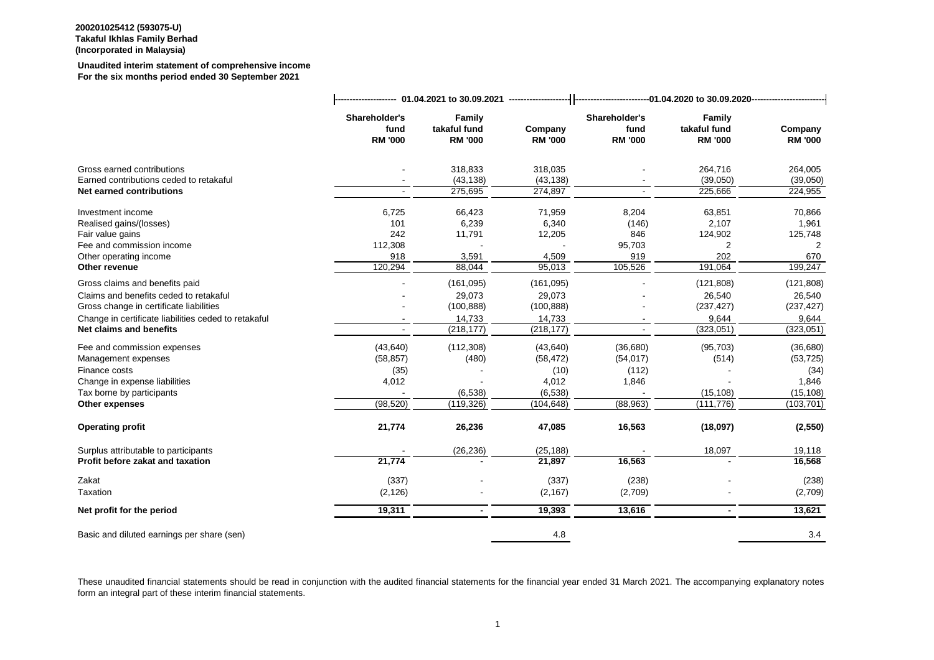#### **Unaudited interim statement of comprehensive income For the six months period ended 30 September 2021**

|                                                      | Shareholder's<br>fund<br><b>RM '000</b> | <b>Family</b><br>takaful fund<br><b>RM '000</b> | Company<br><b>RM '000</b> | Shareholder's<br>fund<br><b>RM '000</b> | Family<br>takaful fund<br><b>RM '000</b> | Company<br><b>RM '000</b> |  |  |
|------------------------------------------------------|-----------------------------------------|-------------------------------------------------|---------------------------|-----------------------------------------|------------------------------------------|---------------------------|--|--|
| Gross earned contributions                           |                                         | 318,833                                         | 318,035                   |                                         | 264,716                                  | 264,005                   |  |  |
| Earned contributions ceded to retakaful              |                                         | (43, 138)                                       | (43, 138)                 |                                         | (39,050)                                 | (39,050)                  |  |  |
| Net earned contributions                             |                                         | 275,695                                         | 274,897                   |                                         | 225,666                                  | 224,955                   |  |  |
| Investment income                                    | 6,725                                   | 66,423                                          | 71,959                    | 8,204                                   | 63,851                                   | 70,866                    |  |  |
| Realised gains/(losses)                              | 101                                     | 6,239                                           | 6,340                     | (146)                                   | 2,107                                    | 1,961                     |  |  |
| Fair value gains                                     | 242                                     | 11,791                                          | 12,205                    | 846                                     | 124,902                                  | 125,748                   |  |  |
| Fee and commission income                            | 112,308                                 |                                                 |                           | 95,703                                  |                                          | 2                         |  |  |
| Other operating income                               | 918                                     | 3,591                                           | 4,509                     | 919                                     | 202                                      | 670                       |  |  |
| Other revenue                                        | 120,294                                 | 88,044                                          | 95,013                    | 105,526                                 | 191,064                                  | 199,247                   |  |  |
| Gross claims and benefits paid                       |                                         | (161, 095)                                      | (161, 095)                |                                         | (121, 808)                               | (121, 808)                |  |  |
| Claims and benefits ceded to retakaful               |                                         | 29,073                                          | 29,073                    |                                         | 26,540                                   | 26,540                    |  |  |
| Gross change in certificate liabilities              |                                         | (100, 888)                                      | (100, 888)                |                                         | (237, 427)                               | (237, 427)                |  |  |
| Change in certificate liabilities ceded to retakaful |                                         | 14,733                                          | 14,733                    |                                         | 9,644                                    | 9,644                     |  |  |
| Net claims and benefits                              |                                         | (218, 177)                                      | (218, 177)                |                                         | (323,051)                                | (323,051)                 |  |  |
| Fee and commission expenses                          | (43, 640)                               | (112, 308)                                      | (43, 640)                 | (36, 680)                               | (95, 703)                                | (36, 680)                 |  |  |
| Management expenses                                  | (58, 857)                               | (480)                                           | (58, 472)                 | (54, 017)                               | (514)                                    | (53, 725)                 |  |  |
| Finance costs                                        | (35)                                    |                                                 | (10)                      | (112)                                   |                                          | (34)                      |  |  |
| Change in expense liabilities                        | 4,012                                   |                                                 | 4,012                     | 1,846                                   |                                          | 1,846                     |  |  |
| Tax borne by participants                            |                                         | (6, 538)                                        | (6, 538)                  |                                         | (15, 108)                                | (15, 108)                 |  |  |
| Other expenses                                       | (98, 520)                               | (119, 326)                                      | (104, 648)                | (88, 963)                               | (111, 776)                               | (103, 701)                |  |  |
| <b>Operating profit</b>                              | 21,774                                  | 26,236                                          | 47,085                    | 16,563                                  | (18,097)                                 | (2, 550)                  |  |  |
| Surplus attributable to participants                 |                                         | (26, 236)                                       | (25, 188)                 |                                         | 18,097                                   | 19,118                    |  |  |
| Profit before zakat and taxation                     | 21,774                                  |                                                 | 21,897                    | 16,563                                  |                                          | 16,568                    |  |  |
| Zakat                                                | (337)                                   |                                                 | (337)                     | (238)                                   |                                          | (238)                     |  |  |
| Taxation                                             | (2, 126)                                |                                                 | (2, 167)                  | (2,709)                                 |                                          | (2,709)                   |  |  |
| Net profit for the period                            | 19,311                                  | $\blacksquare$                                  | 19,393                    | 13,616                                  | $\blacksquare$                           | 13,621                    |  |  |
| Basic and diluted earnings per share (sen)           |                                         |                                                 | 4.8                       |                                         |                                          | 3.4                       |  |  |
|                                                      |                                         |                                                 |                           |                                         |                                          |                           |  |  |

These unaudited financial statements should be read in conjunction with the audited financial statements for the financial year ended 31 March 2021. The accompanying explanatory notes form an integral part of these interim financial statements.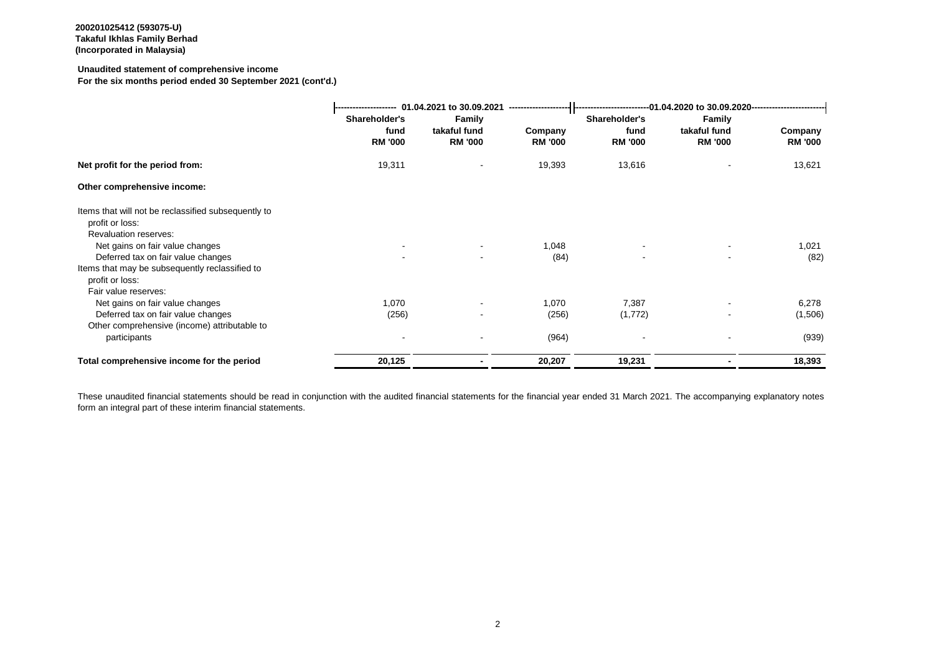#### **Unaudited statement of comprehensive income**

**For the six months period ended 30 September 2021 (cont'd.)**

| 01.04.2021 to 30.09.2021<br>-------------------- |                          |                | --------------------------01.04.2020 to 30.09.2020------------------------------ |                          |                |  |
|--------------------------------------------------|--------------------------|----------------|----------------------------------------------------------------------------------|--------------------------|----------------|--|
| Shareholder's                                    | <b>Family</b>            |                | Shareholder's                                                                    | Family                   |                |  |
| fund                                             | takaful fund             | Company        | fund                                                                             | takaful fund             | Company        |  |
| <b>RM '000</b>                                   | <b>RM '000</b>           | <b>RM '000</b> | <b>RM '000</b>                                                                   | <b>RM '000</b>           | <b>RM '000</b> |  |
| 19,311                                           |                          | 19,393         | 13,616                                                                           |                          | 13,621         |  |
|                                                  |                          |                |                                                                                  |                          |                |  |
|                                                  |                          |                |                                                                                  |                          |                |  |
|                                                  |                          |                |                                                                                  |                          |                |  |
|                                                  |                          |                |                                                                                  |                          |                |  |
|                                                  | $\overline{\phantom{a}}$ | 1,048          |                                                                                  | $\overline{\phantom{a}}$ | 1,021          |  |
| $\sim$                                           | $\blacksquare$           | (84)           | $\blacksquare$                                                                   | $\blacksquare$           | (82)           |  |
|                                                  |                          |                |                                                                                  |                          |                |  |
|                                                  |                          |                |                                                                                  |                          |                |  |
|                                                  |                          |                |                                                                                  |                          |                |  |
| 1,070                                            |                          | 1,070          | 7,387                                                                            | $\overline{\phantom{a}}$ | 6,278          |  |
|                                                  |                          |                | (1, 772)                                                                         | $\overline{\phantom{a}}$ | (1,506)        |  |
|                                                  |                          |                |                                                                                  |                          |                |  |
|                                                  |                          | (964)          |                                                                                  | $\overline{\phantom{a}}$ | (939)          |  |
| 20,125                                           |                          | 20,207         | 19,231                                                                           |                          | 18,393         |  |
|                                                  | (256)                    |                | (256)                                                                            |                          |                |  |

These unaudited financial statements should be read in conjunction with the audited financial statements for the financial year ended 31 March 2021. The accompanying explanatory notes form an integral part of these interim financial statements.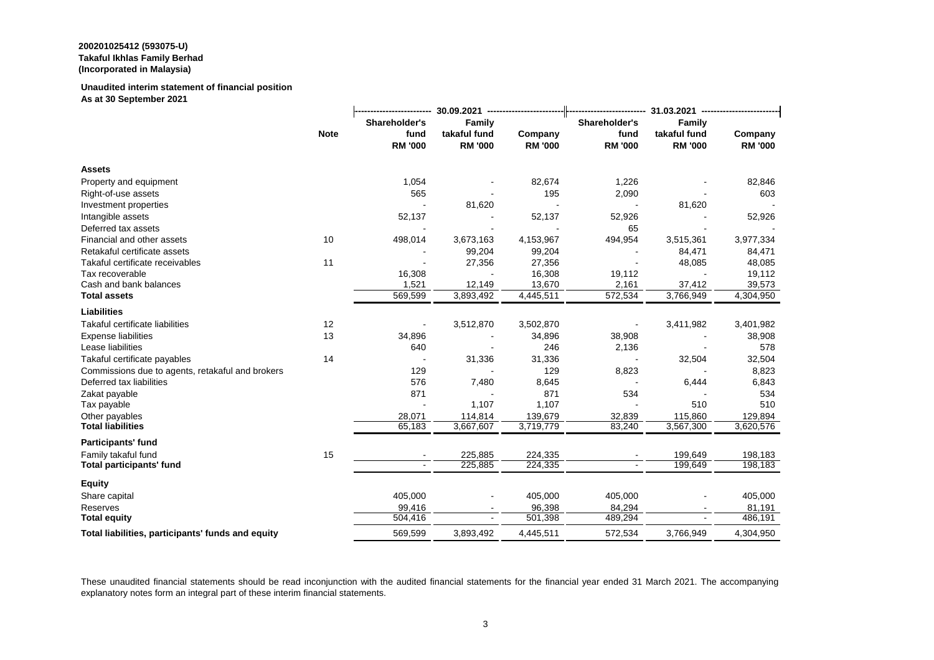### **Unaudited interim statement of financial position**

**As at 30 September 2021**

|                                                   |             | Shareholder's  | <b>Family</b>            |                | Shareholder's  | <b>Family</b>  |                |  |
|---------------------------------------------------|-------------|----------------|--------------------------|----------------|----------------|----------------|----------------|--|
|                                                   | <b>Note</b> | fund           | takaful fund             | Company        | fund           | takaful fund   | Company        |  |
|                                                   |             | <b>RM '000</b> | <b>RM '000</b>           | <b>RM '000</b> | <b>RM '000</b> | <b>RM '000</b> | <b>RM '000</b> |  |
| <b>Assets</b>                                     |             |                |                          |                |                |                |                |  |
| Property and equipment                            |             | 1,054          |                          | 82,674         | 1,226          |                | 82,846         |  |
| Right-of-use assets                               |             | 565            |                          | 195            | 2,090          |                | 603            |  |
| Investment properties                             |             |                | 81,620                   |                |                | 81,620         |                |  |
| Intangible assets                                 |             | 52,137         |                          | 52,137         | 52,926         |                | 52,926         |  |
| Deferred tax assets                               |             |                |                          |                | 65             |                |                |  |
| Financial and other assets                        | 10          | 498,014        | 3,673,163                | 4,153,967      | 494,954        | 3,515,361      | 3,977,334      |  |
| Retakaful certificate assets                      |             |                | 99,204                   | 99,204         |                | 84,471         | 84,471         |  |
| Takaful certificate receivables                   | 11          |                | 27,356                   | 27,356         |                | 48,085         | 48,085         |  |
| Tax recoverable                                   |             | 16,308         |                          | 16,308         | 19,112         |                | 19,112         |  |
| Cash and bank balances                            |             | 1,521          | 12,149                   | 13,670         | 2,161          | 37,412         | 39,573         |  |
| <b>Total assets</b>                               |             | 569,599        | 3,893,492                | 4,445,511      | 572,534        | 3,766,949      | 4,304,950      |  |
| <b>Liabilities</b>                                |             |                |                          |                |                |                |                |  |
| Takaful certificate liabilities                   | 12          |                | 3,512,870                | 3,502,870      |                | 3,411,982      | 3,401,982      |  |
| <b>Expense liabilities</b>                        | 13          | 34,896         |                          | 34,896         | 38,908         |                | 38,908         |  |
| Lease liabilities                                 |             | 640            |                          | 246            | 2,136          |                | 578            |  |
| Takaful certificate payables                      | 14          |                | 31,336                   | 31,336         |                | 32,504         | 32,504         |  |
| Commissions due to agents, retakaful and brokers  |             | 129            |                          | 129            | 8,823          |                | 8,823          |  |
| Deferred tax liabilities                          |             | 576            | 7,480                    | 8,645          |                | 6,444          | 6,843          |  |
| Zakat payable                                     |             | 871            |                          | 871            | 534            |                | 534            |  |
| Tax payable                                       |             |                | 1,107                    | 1,107          |                | 510            | 510            |  |
| Other payables                                    |             | 28,071         | 114,814                  | 139,679        | 32,839         | 115,860        | 129,894        |  |
| <b>Total liabilities</b>                          |             | 65,183         | 3,667,607                | 3,719,779      | 83,240         | 3,567,300      | 3,620,576      |  |
| <b>Participants' fund</b>                         |             |                |                          |                |                |                |                |  |
| Family takaful fund                               | 15          |                | 225,885                  | 224,335        |                | 199,649        | 198,183        |  |
| <b>Total participants' fund</b>                   |             |                | 225,885                  | 224,335        |                | 199,649        | 198,183        |  |
| <b>Equity</b>                                     |             |                |                          |                |                |                |                |  |
| Share capital                                     |             | 405,000        | $\overline{\phantom{a}}$ | 405,000        | 405,000        |                | 405,000        |  |
| Reserves                                          |             | 99,416         | $\blacksquare$           | 96,398         | 84,294         |                | 81,191         |  |
| <b>Total equity</b>                               |             | 504,416        | $\overline{\phantom{a}}$ | 501,398        | 489,294        |                | 486,191        |  |
| Total liabilities, participants' funds and equity |             | 569,599        | 3,893,492                | 4,445,511      | 572,534        | 3,766,949      | 4,304,950      |  |

These unaudited financial statements should be read inconjunction with the audited financial statements for the financial year ended 31 March 2021. The accompanying explanatory notes form an integral part of these interim financial statements.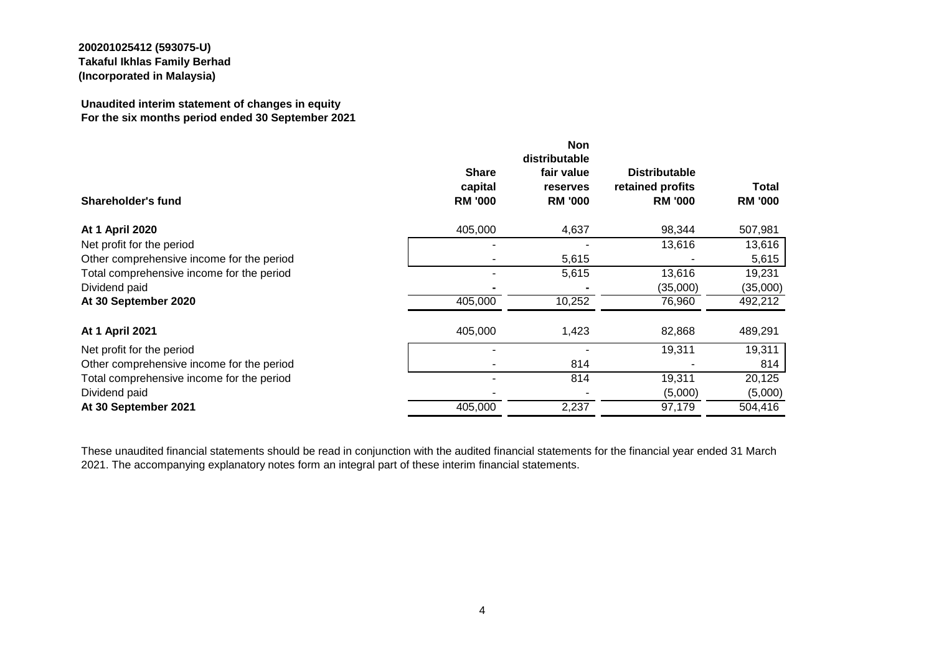#### **Unaudited interim statement of changes in equity For the six months period ended 30 September 2021**

| Shareholder's fund                        | <b>Share</b><br>capital<br><b>RM '000</b> | <b>Non</b><br>distributable<br>fair value<br>reserves<br><b>RM '000</b> | <b>Distributable</b><br>retained profits<br><b>RM '000</b> | <b>Total</b><br><b>RM '000</b> |
|-------------------------------------------|-------------------------------------------|-------------------------------------------------------------------------|------------------------------------------------------------|--------------------------------|
| <b>At 1 April 2020</b>                    | 405,000                                   | 4,637                                                                   | 98,344                                                     | 507,981                        |
| Net profit for the period                 |                                           |                                                                         | 13,616                                                     | 13,616                         |
| Other comprehensive income for the period |                                           | 5,615                                                                   |                                                            | 5,615                          |
| Total comprehensive income for the period |                                           | 5,615                                                                   | 13,616                                                     | 19,231                         |
| Dividend paid                             |                                           |                                                                         | (35,000)                                                   | (35,000)                       |
| At 30 September 2020                      | 405,000                                   | 10,252                                                                  | 76,960                                                     | 492,212                        |
| At 1 April 2021                           | 405,000                                   | 1,423                                                                   | 82,868                                                     | 489,291                        |
| Net profit for the period                 |                                           |                                                                         | 19,311                                                     | 19,311                         |
| Other comprehensive income for the period |                                           | 814                                                                     |                                                            | 814                            |
| Total comprehensive income for the period |                                           | 814                                                                     | 19,311                                                     | 20,125                         |
| Dividend paid                             |                                           |                                                                         | (5,000)                                                    | (5,000)                        |
| At 30 September 2021                      | 405,000                                   | 2,237                                                                   | 97,179                                                     | 504,416                        |

These unaudited financial statements should be read in conjunction with the audited financial statements for the financial year ended 31 March 2021. The accompanying explanatory notes form an integral part of these interim financial statements.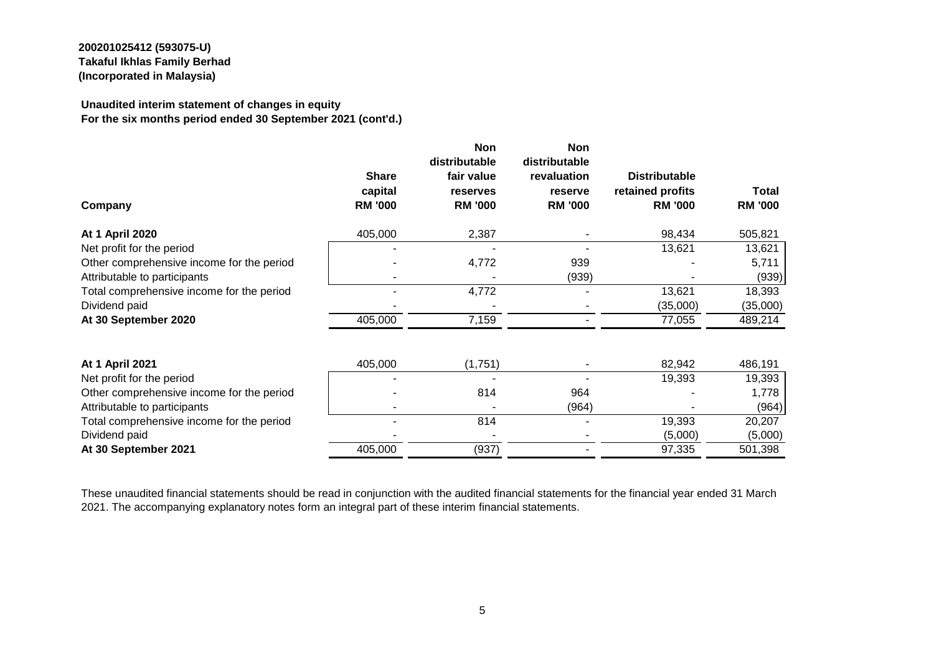#### **Unaudited interim statement of changes in equity For the six months period ended 30 September 2021 (cont'd.)**

| Company                                   | <b>Share</b><br>capital<br><b>RM '000</b> | <b>Non</b><br>distributable<br>fair value<br>reserves<br><b>RM '000</b> | <b>Non</b><br>distributable<br>revaluation<br>reserve<br><b>RM '000</b> | <b>Distributable</b><br>retained profits<br><b>RM '000</b> | Total<br><b>RM '000</b> |
|-------------------------------------------|-------------------------------------------|-------------------------------------------------------------------------|-------------------------------------------------------------------------|------------------------------------------------------------|-------------------------|
| <b>At 1 April 2020</b>                    | 405,000                                   | 2,387                                                                   |                                                                         | 98,434                                                     | 505,821                 |
| Net profit for the period                 |                                           |                                                                         |                                                                         | 13,621                                                     | 13,621                  |
| Other comprehensive income for the period |                                           | 4,772                                                                   | 939                                                                     |                                                            | 5,711                   |
| Attributable to participants              |                                           |                                                                         | (939)                                                                   |                                                            | (939)                   |
| Total comprehensive income for the period |                                           | 4,772                                                                   |                                                                         | 13,621                                                     | 18,393                  |
| Dividend paid                             |                                           |                                                                         |                                                                         | (35,000)                                                   | (35,000)                |
| At 30 September 2020                      | 405,000                                   | 7,159                                                                   |                                                                         | 77,055                                                     | 489,214                 |
| <b>At 1 April 2021</b>                    | 405,000                                   | (1,751)                                                                 |                                                                         | 82,942                                                     | 486,191                 |
| Net profit for the period                 |                                           |                                                                         |                                                                         | 19,393                                                     | 19,393                  |
| Other comprehensive income for the period |                                           | 814                                                                     | 964                                                                     |                                                            | 1,778                   |
| Attributable to participants              |                                           |                                                                         | (964)                                                                   |                                                            | (964)                   |
| Total comprehensive income for the period |                                           | 814                                                                     |                                                                         | 19,393                                                     | 20,207                  |
| Dividend paid                             |                                           |                                                                         |                                                                         | (5,000)                                                    | (5,000)                 |
| At 30 September 2021                      | 405,000                                   | (937)                                                                   |                                                                         | 97,335                                                     | 501,398                 |

These unaudited financial statements should be read in conjunction with the audited financial statements for the financial year ended 31 March 2021. The accompanying explanatory notes form an integral part of these interim financial statements.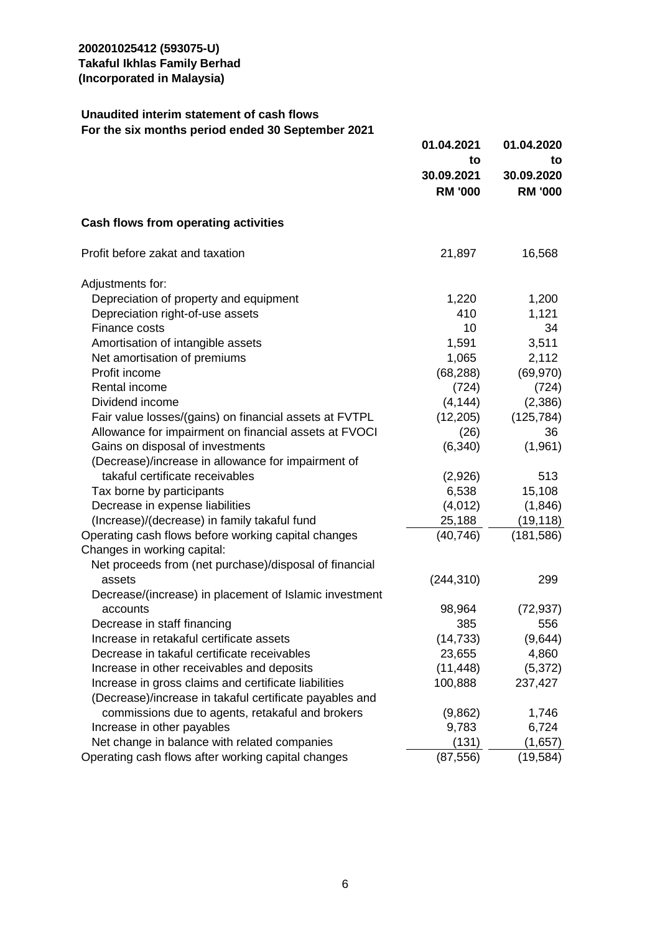### **Unaudited interim statement of cash flows For the six months period ended 30 September 2021**

|                                                         | 01.04.2021     | 01.04.2020     |
|---------------------------------------------------------|----------------|----------------|
|                                                         | to             | to             |
|                                                         | 30.09.2021     | 30.09.2020     |
|                                                         | <b>RM '000</b> | <b>RM '000</b> |
| Cash flows from operating activities                    |                |                |
| Profit before zakat and taxation                        | 21,897         | 16,568         |
| Adjustments for:                                        |                |                |
| Depreciation of property and equipment                  | 1,220          | 1,200          |
| Depreciation right-of-use assets                        | 410            | 1,121          |
| Finance costs                                           | 10             | 34             |
| Amortisation of intangible assets                       | 1,591          | 3,511          |
| Net amortisation of premiums                            | 1,065          | 2,112          |
| Profit income                                           | (68, 288)      | (69, 970)      |
| Rental income                                           | (724)          | (724)          |
| Dividend income                                         | (4, 144)       | (2,386)        |
| Fair value losses/(gains) on financial assets at FVTPL  | (12, 205)      | (125, 784)     |
| Allowance for impairment on financial assets at FVOCI   | (26)           | 36             |
| Gains on disposal of investments                        | (6, 340)       | (1,961)        |
| (Decrease)/increase in allowance for impairment of      |                |                |
| takaful certificate receivables                         | (2,926)        | 513            |
| Tax borne by participants                               | 6,538          | 15,108         |
| Decrease in expense liabilities                         | (4,012)        | (1,846)        |
| (Increase)/(decrease) in family takaful fund            | 25,188         | (19, 118)      |
| Operating cash flows before working capital changes     | (40, 746)      | (181, 586)     |
| Changes in working capital:                             |                |                |
| Net proceeds from (net purchase)/disposal of financial  |                |                |
| assets                                                  | (244, 310)     | 299            |
| Decrease/(increase) in placement of Islamic investment  |                |                |
| accounts                                                | 98,964         | (72, 937)      |
| Decrease in staff financing                             | 385            | 556            |
| Increase in retakaful certificate assets                | (14, 733)      | (9,644)        |
| Decrease in takaful certificate receivables             | 23,655         | 4,860          |
| Increase in other receivables and deposits              | (11, 448)      | (5,372)        |
| Increase in gross claims and certificate liabilities    | 100,888        | 237,427        |
| (Decrease)/increase in takaful certificate payables and |                |                |
| commissions due to agents, retakaful and brokers        | (9,862)        | 1,746          |
| Increase in other payables                              | 9,783          | 6,724          |
| Net change in balance with related companies            | (131)          | (1,657)        |
| Operating cash flows after working capital changes      | (87, 556)      | (19, 584)      |
|                                                         |                |                |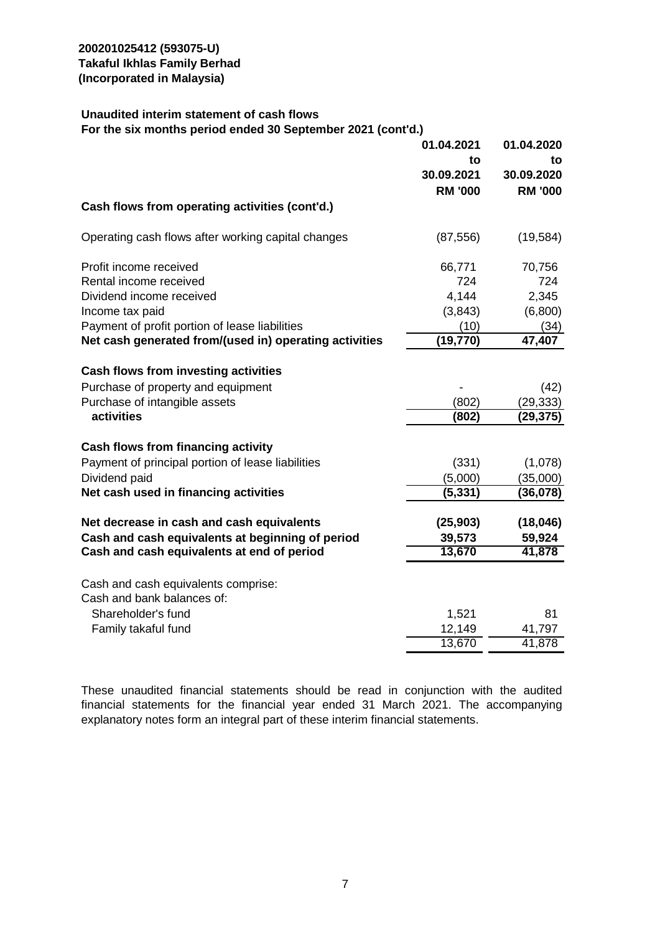#### **Unaudited interim statement of cash flows For the six months period ended 30 September 2021 (cont'd.)**

|                                                                   | 01.04.2021<br>to<br>30.09.2021<br><b>RM '000</b> | 01.04.2020<br>to<br>30.09.2020<br><b>RM '000</b> |
|-------------------------------------------------------------------|--------------------------------------------------|--------------------------------------------------|
| Cash flows from operating activities (cont'd.)                    |                                                  |                                                  |
| Operating cash flows after working capital changes                | (87, 556)                                        | (19, 584)                                        |
| Profit income received                                            | 66,771                                           | 70,756                                           |
| Rental income received                                            | 724                                              | 724                                              |
| Dividend income received                                          | 4,144                                            | 2,345                                            |
| Income tax paid                                                   | (3,843)                                          | (6,800)                                          |
| Payment of profit portion of lease liabilities                    | (10)                                             | (34)                                             |
| Net cash generated from/(used in) operating activities            | (19, 770)                                        | 47,407                                           |
| Cash flows from investing activities                              |                                                  |                                                  |
| Purchase of property and equipment                                |                                                  | (42)                                             |
| Purchase of intangible assets                                     | (802)                                            | (29, 333)                                        |
| activities                                                        | (802)                                            | (29,375)                                         |
| <b>Cash flows from financing activity</b>                         |                                                  |                                                  |
| Payment of principal portion of lease liabilities                 | (331)                                            | (1,078)                                          |
| Dividend paid                                                     | (5,000)                                          | (35,000)                                         |
| Net cash used in financing activities                             | (5, 331)                                         | (36,078)                                         |
| Net decrease in cash and cash equivalents                         | (25, 903)                                        | (18, 046)                                        |
| Cash and cash equivalents at beginning of period                  | 39,573                                           | 59,924                                           |
| Cash and cash equivalents at end of period                        | 13,670                                           | 41,878                                           |
|                                                                   |                                                  |                                                  |
| Cash and cash equivalents comprise:<br>Cash and bank balances of: |                                                  |                                                  |
| Shareholder's fund                                                | 1,521                                            | 81                                               |
| Family takaful fund                                               | 12,149                                           | 41,797                                           |
|                                                                   | 13,670                                           | 41,878                                           |

These unaudited financial statements should be read in conjunction with the audited financial statements for the financial year ended 31 March 2021. The accompanying explanatory notes form an integral part of these interim financial statements.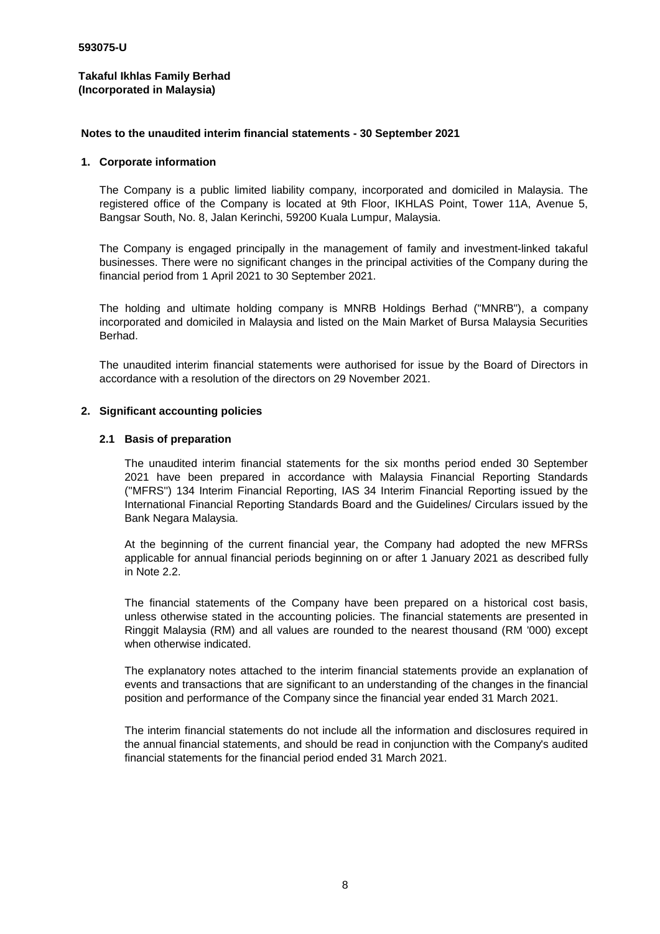#### **Notes to the unaudited interim financial statements - 30 September 2021**

#### **1. Corporate information**

The Company is a public limited liability company, incorporated and domiciled in Malaysia. The registered office of the Company is located at 9th Floor, IKHLAS Point, Tower 11A, Avenue 5, Bangsar South, No. 8, Jalan Kerinchi, 59200 Kuala Lumpur, Malaysia.

The Company is engaged principally in the management of family and investment-linked takaful businesses. There were no significant changes in the principal activities of the Company during the financial period from 1 April 2021 to 30 September 2021.

The holding and ultimate holding company is MNRB Holdings Berhad ("MNRB"), a company incorporated and domiciled in Malaysia and listed on the Main Market of Bursa Malaysia Securities Berhad.

The unaudited interim financial statements were authorised for issue by the Board of Directors in accordance with a resolution of the directors on 29 November 2021.

#### **2. Significant accounting policies**

#### **2.1 Basis of preparation**

The unaudited interim financial statements for the six months period ended 30 September 2021 have been prepared in accordance with Malaysia Financial Reporting Standards (''MFRS'') 134 Interim Financial Reporting, IAS 34 Interim Financial Reporting issued by the International Financial Reporting Standards Board and the Guidelines/ Circulars issued by the Bank Negara Malaysia.

At the beginning of the current financial year, the Company had adopted the new MFRSs applicable for annual financial periods beginning on or after 1 January 2021 as described fully in Note 2.2.

The financial statements of the Company have been prepared on a historical cost basis, unless otherwise stated in the accounting policies. The financial statements are presented in Ringgit Malaysia (RM) and all values are rounded to the nearest thousand (RM '000) except when otherwise indicated.

The explanatory notes attached to the interim financial statements provide an explanation of events and transactions that are significant to an understanding of the changes in the financial position and performance of the Company since the financial year ended 31 March 2021.

The interim financial statements do not include all the information and disclosures required in the annual financial statements, and should be read in conjunction with the Company's audited financial statements for the financial period ended 31 March 2021.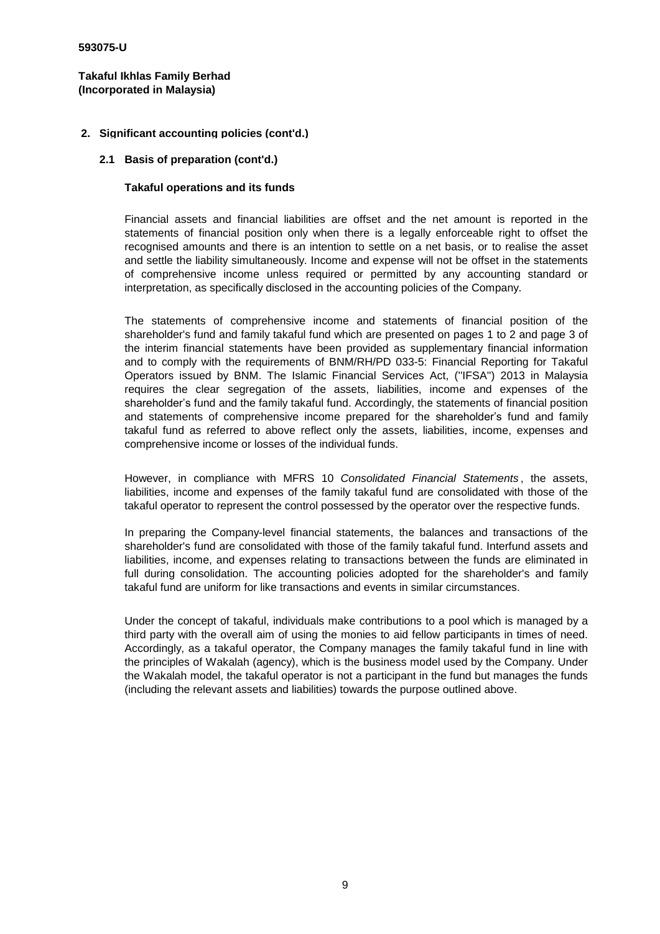#### **2. Significant accounting policies (cont'd.)**

#### **2.1 Basis of preparation (cont'd.)**

#### **Takaful operations and its funds**

Financial assets and financial liabilities are offset and the net amount is reported in the statements of financial position only when there is a legally enforceable right to offset the recognised amounts and there is an intention to settle on a net basis, or to realise the asset and settle the liability simultaneously. Income and expense will not be offset in the statements of comprehensive income unless required or permitted by any accounting standard or interpretation, as specifically disclosed in the accounting policies of the Company.

The statements of comprehensive income and statements of financial position of the shareholder's fund and family takaful fund which are presented on pages 1 to 2 and page 3 of the interim financial statements have been provided as supplementary financial information and to comply with the requirements of BNM/RH/PD 033-5: Financial Reporting for Takaful Operators issued by BNM. The Islamic Financial Services Act, (''IFSA'') 2013 in Malaysia requires the clear segregation of the assets, liabilities, income and expenses of the shareholder's fund and the family takaful fund. Accordingly, the statements of financial position and statements of comprehensive income prepared for the shareholder's fund and family takaful fund as referred to above reflect only the assets, liabilities, income, expenses and comprehensive income or losses of the individual funds.

However, in compliance with MFRS 10 *Consolidated Financial Statements* , the assets, liabilities, income and expenses of the family takaful fund are consolidated with those of the takaful operator to represent the control possessed by the operator over the respective funds.

In preparing the Company-level financial statements, the balances and transactions of the shareholder's fund are consolidated with those of the family takaful fund. Interfund assets and liabilities, income, and expenses relating to transactions between the funds are eliminated in full during consolidation. The accounting policies adopted for the shareholder's and family takaful fund are uniform for like transactions and events in similar circumstances.

Under the concept of takaful, individuals make contributions to a pool which is managed by a third party with the overall aim of using the monies to aid fellow participants in times of need. Accordingly, as a takaful operator, the Company manages the family takaful fund in line with the principles of Wakalah (agency), which is the business model used by the Company. Under the Wakalah model, the takaful operator is not a participant in the fund but manages the funds (including the relevant assets and liabilities) towards the purpose outlined above.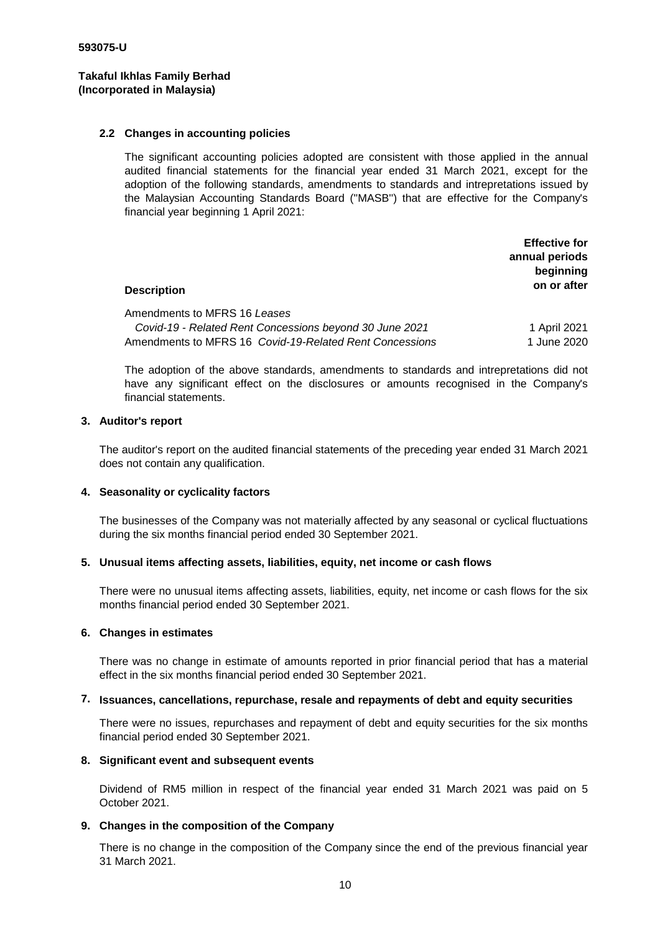#### **2.2 Changes in accounting policies**

The significant accounting policies adopted are consistent with those applied in the annual audited financial statements for the financial year ended 31 March 2021, except for the adoption of the following standards, amendments to standards and intrepretations issued by the Malaysian Accounting Standards Board (''MASB'') that are effective for the Company's financial year beginning 1 April 2021:

| <b>Description</b>                                                                                                                                 | <b>Effective for</b><br>annual periods<br>beginning<br>on or after |
|----------------------------------------------------------------------------------------------------------------------------------------------------|--------------------------------------------------------------------|
| Amendments to MFRS 16 Leases<br>Covid-19 - Related Rent Concessions beyond 30 June 2021<br>Amendments to MFRS 16 Covid-19-Related Rent Concessions | 1 April 2021<br>1 June 2020                                        |

The adoption of the above standards, amendments to standards and intrepretations did not have any significant effect on the disclosures or amounts recognised in the Company's financial statements.

#### **3. Auditor's report**

The auditor's report on the audited financial statements of the preceding year ended 31 March 2021 does not contain any qualification.

#### **4. Seasonality or cyclicality factors**

The businesses of the Company was not materially affected by any seasonal or cyclical fluctuations during the six months financial period ended 30 September 2021.

#### **5. Unusual items affecting assets, liabilities, equity, net income or cash flows**

There were no unusual items affecting assets, liabilities, equity, net income or cash flows for the six months financial period ended 30 September 2021.

#### **6. Changes in estimates**

There was no change in estimate of amounts reported in prior financial period that has a material effect in the six months financial period ended 30 September 2021.

#### **7. Issuances, cancellations, repurchase, resale and repayments of debt and equity securities**

There were no issues, repurchases and repayment of debt and equity securities for the six months financial period ended 30 September 2021.

#### **8. Significant event and subsequent events**

Dividend of RM5 million in respect of the financial year ended 31 March 2021 was paid on 5 October 2021.

#### **9. Changes in the composition of the Company**

There is no change in the composition of the Company since the end of the previous financial year 31 March 2021.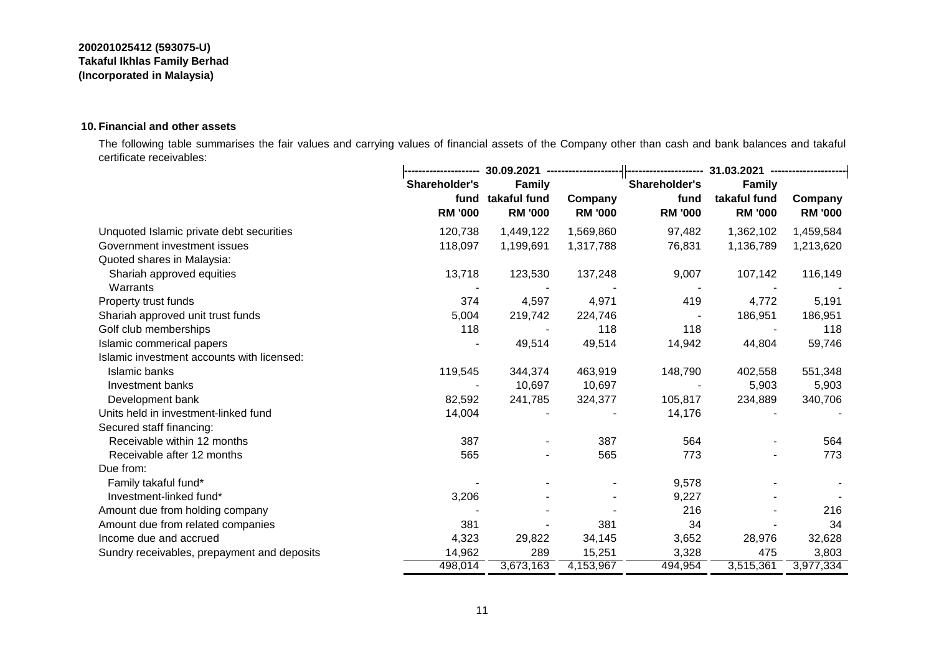#### **10. Financial and other assets**

The following table summarises the fair values and carrying values of financial assets of the Company other than cash and bank balances and takaful certificate receivables:

|                                             |                        | 30.09.2021 ------------------  |                           |                        | 31.03.2021 ------------------  |                           |  |  |
|---------------------------------------------|------------------------|--------------------------------|---------------------------|------------------------|--------------------------------|---------------------------|--|--|
|                                             | Shareholder's          | <b>Family</b>                  |                           | Shareholder's          | <b>Family</b>                  |                           |  |  |
|                                             | fund<br><b>RM '000</b> | takaful fund<br><b>RM '000</b> | Company<br><b>RM '000</b> | fund<br><b>RM '000</b> | takaful fund<br><b>RM '000</b> | Company<br><b>RM '000</b> |  |  |
| Unquoted Islamic private debt securities    | 120,738                | 1,449,122                      | 1,569,860                 | 97,482                 | 1,362,102                      | 1,459,584                 |  |  |
| Government investment issues                | 118,097                | 1,199,691                      | 1,317,788                 | 76,831                 | 1,136,789                      | 1,213,620                 |  |  |
| Quoted shares in Malaysia:                  |                        |                                |                           |                        |                                |                           |  |  |
| Shariah approved equities<br>Warrants       | 13,718                 | 123,530                        | 137,248                   | 9,007                  | 107,142                        | 116,149                   |  |  |
| Property trust funds                        | 374                    | 4,597                          | 4,971                     | 419                    | 4,772                          | 5,191                     |  |  |
| Shariah approved unit trust funds           | 5,004                  | 219,742                        | 224,746                   |                        | 186,951                        | 186,951                   |  |  |
| Golf club memberships                       | 118                    |                                | 118                       | 118                    |                                | 118                       |  |  |
| Islamic commerical papers                   |                        | 49,514                         | 49,514                    | 14,942                 | 44,804                         | 59,746                    |  |  |
| Islamic investment accounts with licensed:  |                        |                                |                           |                        |                                |                           |  |  |
| Islamic banks                               | 119,545                | 344,374                        | 463,919                   | 148,790                | 402,558                        | 551,348                   |  |  |
| Investment banks                            |                        | 10,697                         | 10,697                    |                        | 5,903                          | 5,903                     |  |  |
| Development bank                            | 82,592                 | 241,785                        | 324,377                   | 105,817                | 234,889                        | 340,706                   |  |  |
| Units held in investment-linked fund        | 14,004                 |                                |                           | 14,176                 |                                |                           |  |  |
| Secured staff financing:                    |                        |                                |                           |                        |                                |                           |  |  |
| Receivable within 12 months                 | 387                    | $\blacksquare$                 | 387                       | 564                    |                                | 564                       |  |  |
| Receivable after 12 months                  | 565                    |                                | 565                       | 773                    |                                | 773                       |  |  |
| Due from:                                   |                        |                                |                           |                        |                                |                           |  |  |
| Family takaful fund*                        |                        |                                |                           | 9,578                  |                                |                           |  |  |
| Investment-linked fund*                     | 3,206                  |                                |                           | 9,227                  |                                |                           |  |  |
| Amount due from holding company             |                        |                                |                           | 216                    |                                | 216                       |  |  |
| Amount due from related companies           | 381                    |                                | 381                       | 34                     |                                | 34                        |  |  |
| Income due and accrued                      | 4,323                  | 29,822                         | 34,145                    | 3,652                  | 28,976                         | 32,628                    |  |  |
| Sundry receivables, prepayment and deposits | 14,962                 | 289                            | 15,251                    | 3,328                  | 475                            | 3,803                     |  |  |
|                                             | 498,014                | 3,673,163                      | 4,153,967                 | 494,954                | 3,515,361                      | 3,977,334                 |  |  |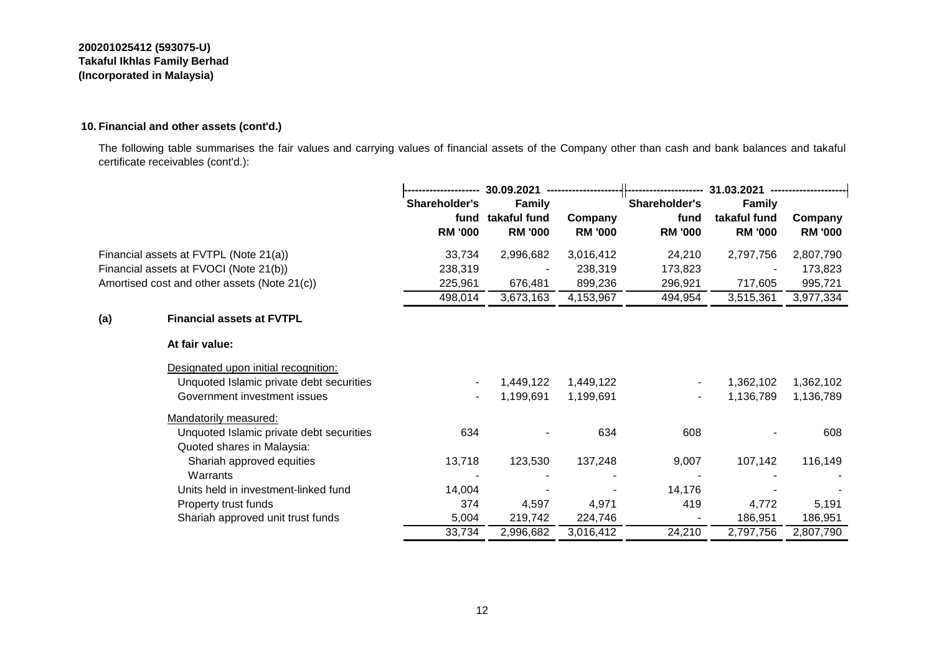#### **10. Financial and other assets (cont'd.)**

The following table summarises the fair values and carrying values of financial assets of the Company other than cash and bank balances and takaful certificate receivables (cont'd.):

|     |                                              | 30.09.2021     |                | 31.03.2021     |                |                |                |
|-----|----------------------------------------------|----------------|----------------|----------------|----------------|----------------|----------------|
|     |                                              | Shareholder's  | <b>Family</b>  |                | Shareholder's  | <b>Family</b>  |                |
|     |                                              | fund           | takaful fund   | Company        | fund           | takaful fund   | Company        |
|     |                                              | <b>RM '000</b> | <b>RM '000</b> | <b>RM '000</b> | <b>RM '000</b> | <b>RM '000</b> | <b>RM '000</b> |
|     | Financial assets at FVTPL (Note 21(a))       | 33,734         | 2,996,682      | 3,016,412      | 24,210         | 2,797,756      | 2,807,790      |
|     | Financial assets at FVOCI (Note 21(b))       | 238,319        |                | 238,319        | 173,823        |                | 173,823        |
|     | Amortised cost and other assets (Note 21(c)) | 225,961        | 676,481        | 899,236        | 296,921        | 717,605        | 995,721        |
|     |                                              | 498,014        | 3,673,163      | 4,153,967      | 494,954        | 3,515,361      | 3,977,334      |
| (a) | <b>Financial assets at FVTPL</b>             |                |                |                |                |                |                |
|     | At fair value:                               |                |                |                |                |                |                |
|     | Designated upon initial recognition:         |                |                |                |                |                |                |
|     | Unquoted Islamic private debt securities     |                | 1,449,122      | 1,449,122      |                | 1,362,102      | 1,362,102      |
|     | Government investment issues                 |                | 1,199,691      | 1,199,691      |                | 1,136,789      | 1,136,789      |
|     | Mandatorily measured:                        |                |                |                |                |                |                |
|     | Unquoted Islamic private debt securities     | 634            |                | 634            | 608            |                | 608            |
|     | Quoted shares in Malaysia:                   |                |                |                |                |                |                |
|     | Shariah approved equities                    | 13,718         | 123,530        | 137,248        | 9,007          | 107,142        | 116,149        |
|     | Warrants                                     |                |                |                |                |                |                |
|     | Units held in investment-linked fund         | 14,004         |                |                | 14,176         |                |                |
|     | Property trust funds                         | 374            | 4,597          | 4,971          | 419            | 4,772          | 5,191          |
|     | Shariah approved unit trust funds            | 5,004          | 219,742        | 224,746        |                | 186,951        | 186,951        |
|     |                                              | 33,734         | 2,996,682      | 3,016,412      | 24,210         | 2,797,756      | 2,807,790      |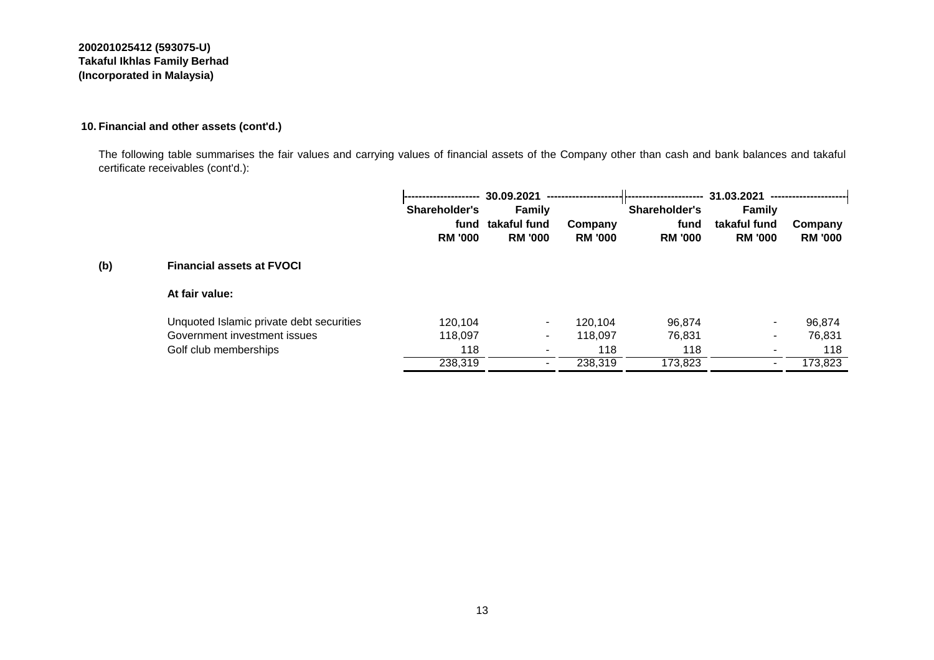#### **10. Financial and other assets (cont'd.)**

The following table summarises the fair values and carrying values of financial assets of the Company other than cash and bank balances and takaful certificate receivables (cont'd.):

|     |                                          | --------------------- | 30.09.2021               |                |                | 31.03.2021               | ---------------------- |
|-----|------------------------------------------|-----------------------|--------------------------|----------------|----------------|--------------------------|------------------------|
|     |                                          | Shareholder's         | <b>Family</b>            |                | Shareholder's  | <b>Family</b>            |                        |
|     |                                          | fund                  | takaful fund             | Company        | fund           | takaful fund             | Company                |
|     |                                          | <b>RM '000</b>        | <b>RM '000</b>           | <b>RM '000</b> | <b>RM '000</b> | <b>RM '000</b>           | <b>RM '000</b>         |
| (b) | <b>Financial assets at FVOCI</b>         |                       |                          |                |                |                          |                        |
|     | At fair value:                           |                       |                          |                |                |                          |                        |
|     | Unquoted Islamic private debt securities | 120,104               | $\sim$                   | 120,104        | 96,874         | $\blacksquare$           | 96,874                 |
|     | Government investment issues             | 118,097               | $\sim$                   | 118,097        | 76,831         |                          | 76,831                 |
|     | Golf club memberships                    | 118                   | $\overline{\phantom{0}}$ | 118            | 118            | $\overline{\phantom{a}}$ | 118                    |
|     |                                          | 238,319               |                          | 238,319        | 173,823        |                          | 173,823                |

#### 13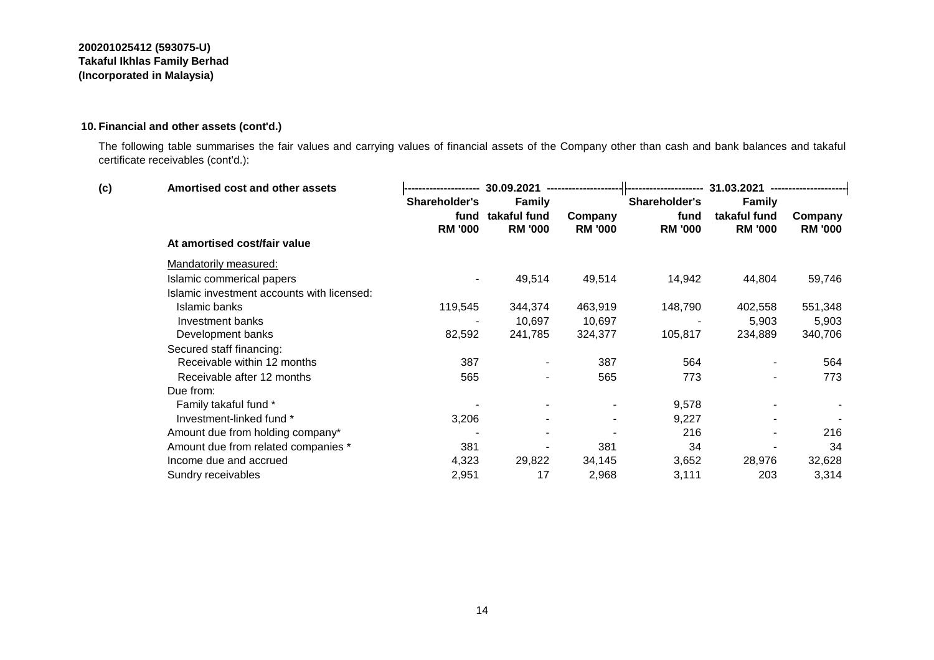#### **10. Financial and other assets (cont'd.)**

The following table summarises the fair values and carrying values of financial assets of the Company other than cash and bank balances and takaful certificate receivables (cont'd.):

| (c) | Amortised cost and other assets            |                | 30.09.2021     | --------------------- | --------------------- | 31.03.2021     | --------------------- |
|-----|--------------------------------------------|----------------|----------------|-----------------------|-----------------------|----------------|-----------------------|
|     |                                            | Shareholder's  | <b>Family</b>  |                       | Shareholder's         | <b>Family</b>  |                       |
|     |                                            | fund           | takaful fund   | Company               | fund                  | takaful fund   | Company               |
|     |                                            | <b>RM '000</b> | <b>RM '000</b> | <b>RM '000</b>        | <b>RM '000</b>        | <b>RM '000</b> | <b>RM '000</b>        |
|     | At amortised cost/fair value               |                |                |                       |                       |                |                       |
|     | Mandatorily measured:                      |                |                |                       |                       |                |                       |
|     | Islamic commerical papers                  | $\sim$         | 49,514         | 49,514                | 14,942                | 44,804         | 59,746                |
|     | Islamic investment accounts with licensed: |                |                |                       |                       |                |                       |
|     | Islamic banks                              | 119,545        | 344,374        | 463,919               | 148,790               | 402,558        | 551,348               |
|     | Investment banks                           |                | 10,697         | 10,697                |                       | 5,903          | 5,903                 |
|     | Development banks                          | 82,592         | 241,785        | 324,377               | 105,817               | 234,889        | 340,706               |
|     | Secured staff financing:                   |                |                |                       |                       |                |                       |
|     | Receivable within 12 months                | 387            | $\blacksquare$ | 387                   | 564                   |                | 564                   |
|     | Receivable after 12 months                 | 565            | $\blacksquare$ | 565                   | 773                   |                | 773                   |
|     | Due from:                                  |                |                |                       |                       |                |                       |
|     | Family takaful fund *                      |                |                | $\blacksquare$        | 9,578                 |                | $\blacksquare$        |
|     | Investment-linked fund *                   | 3,206          |                |                       | 9,227                 |                |                       |
|     | Amount due from holding company*           |                | $\blacksquare$ |                       | 216                   |                | 216                   |
|     | Amount due from related companies *        | 381            |                | 381                   | 34                    |                | 34                    |
|     | Income due and accrued                     | 4,323          | 29,822         | 34,145                | 3,652                 | 28,976         | 32,628                |
|     | Sundry receivables                         | 2,951          | 17             | 2,968                 | 3,111                 | 203            | 3,314                 |
|     |                                            |                |                |                       |                       |                |                       |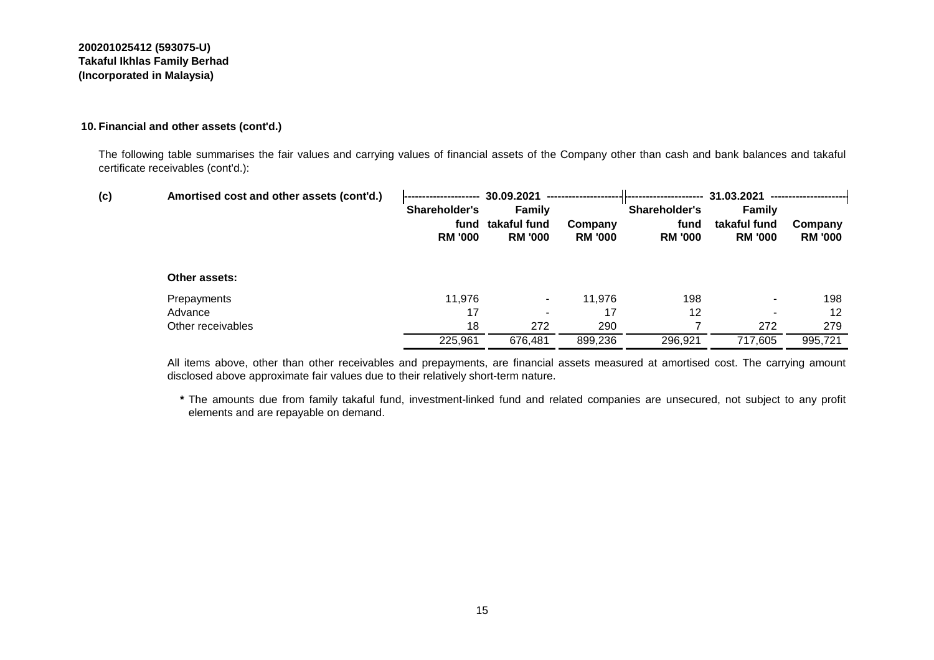#### **10. Financial and other assets (cont'd.)**

The following table summarises the fair values and carrying values of financial assets of the Company other than cash and bank balances and takaful certificate receivables (cont'd.):

| (c) | Amortised cost and other assets (cont'd.) |                | 30.09.2021               |                |                | 31.03.2021     |                |
|-----|-------------------------------------------|----------------|--------------------------|----------------|----------------|----------------|----------------|
|     |                                           | Shareholder's  | <b>Family</b>            |                | Shareholder's  | <b>Family</b>  |                |
|     |                                           |                | fund takaful fund        | Company        | fund           | takaful fund   | Company        |
|     |                                           | <b>RM '000</b> | <b>RM '000</b>           | <b>RM '000</b> | <b>RM '000</b> | <b>RM '000</b> | <b>RM '000</b> |
|     |                                           |                |                          |                |                |                |                |
|     | Other assets:                             |                |                          |                |                |                |                |
|     | Prepayments                               | 11,976         | $\overline{\phantom{a}}$ | 11,976         | 198            |                | 198            |
|     | Advance                                   | 17             | $\overline{\phantom{a}}$ | 17             | 12             |                | 12             |
|     | Other receivables                         | 18             | 272                      | 290            |                | 272            | 279            |
|     |                                           | 225,961        | 676,481                  | 899,236        | 296,921        | 717,605        | 995,721        |
|     |                                           |                |                          |                |                |                |                |

All items above, other than other receivables and prepayments, are financial assets measured at amortised cost. The carrying amount disclosed above approximate fair values due to their relatively short-term nature.

**\*** The amounts due from family takaful fund, investment-linked fund and related companies are unsecured, not subject to any profit elements and are repayable on demand.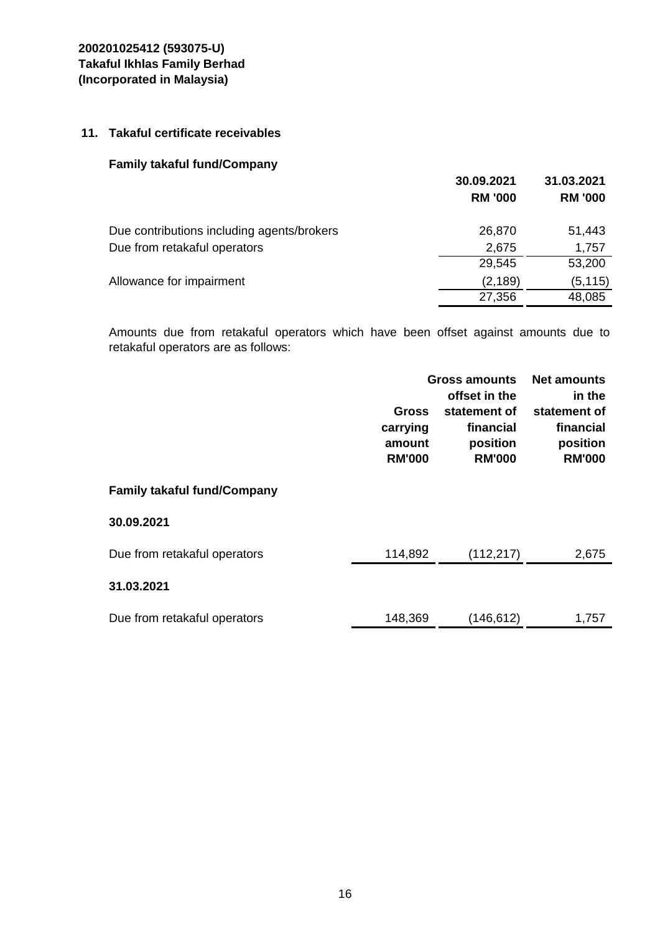### **11. Takaful certificate receivables**

### **Family takaful fund/Company**

|                                            | 30.09.2021<br><b>RM '000</b> | 31.03.2021<br><b>RM '000</b> |
|--------------------------------------------|------------------------------|------------------------------|
| Due contributions including agents/brokers | 26,870                       | 51,443                       |
| Due from retakaful operators               | 2,675                        | 1,757                        |
|                                            | 29,545                       | 53,200                       |
| Allowance for impairment                   | (2, 189)                     | (5, 115)                     |
|                                            | 27,356                       | 48,085                       |

Amounts due from retakaful operators which have been offset against amounts due to retakaful operators are as follows:

|                                    | <b>Gross</b><br>carrying<br>amount<br><b>RM'000</b> | Gross amounts<br>offset in the<br>statement of<br>financial<br>position<br><b>RM'000</b> |       |
|------------------------------------|-----------------------------------------------------|------------------------------------------------------------------------------------------|-------|
| <b>Family takaful fund/Company</b> |                                                     |                                                                                          |       |
| 30.09.2021                         |                                                     |                                                                                          |       |
| Due from retakaful operators       | 114,892                                             | (112, 217)                                                                               | 2,675 |
| 31.03.2021                         |                                                     |                                                                                          |       |
| Due from retakaful operators       | 148,369                                             | (146,612)                                                                                | 1,757 |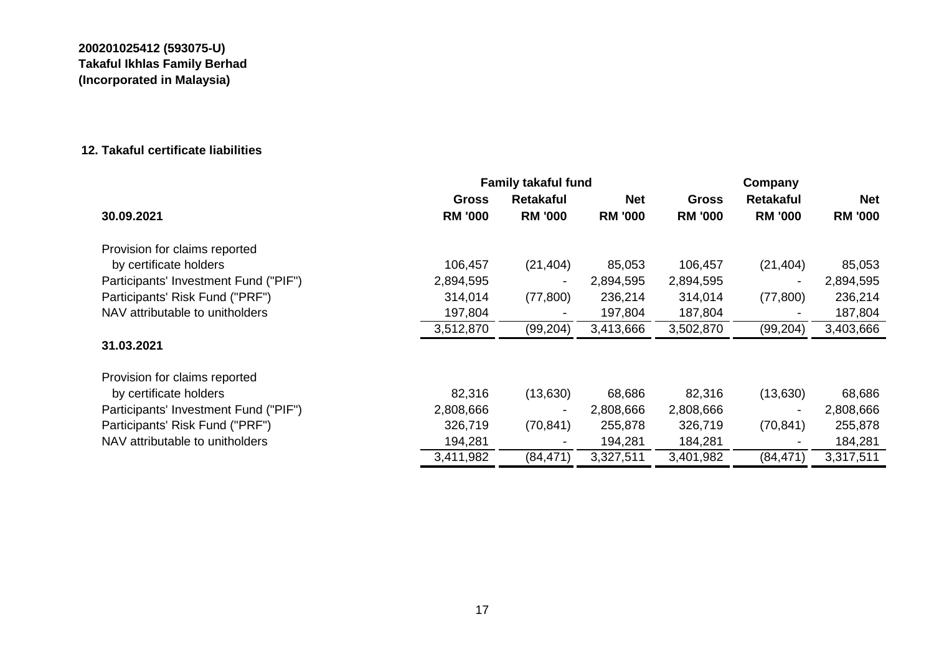### **12. Takaful certificate liabilities**

|                                       | <b>Family takaful fund</b> |                          |                |                | Company                  |                |  |
|---------------------------------------|----------------------------|--------------------------|----------------|----------------|--------------------------|----------------|--|
|                                       | <b>Gross</b>               | <b>Retakaful</b>         | <b>Net</b>     | <b>Gross</b>   | <b>Retakaful</b>         | Net            |  |
| 30.09.2021                            | <b>RM '000</b>             | <b>RM '000</b>           | <b>RM '000</b> | <b>RM '000</b> | <b>RM '000</b>           | <b>RM '000</b> |  |
| Provision for claims reported         |                            |                          |                |                |                          |                |  |
| by certificate holders                | 106,457                    | (21, 404)                | 85,053         | 106,457        | (21, 404)                | 85,053         |  |
| Participants' Investment Fund ("PIF") | 2,894,595                  | $\blacksquare$           | 2,894,595      | 2,894,595      | $\blacksquare$           | 2,894,595      |  |
| Participants' Risk Fund ("PRF")       | 314,014                    | (77, 800)                | 236,214        | 314,014        | (77,800)                 | 236,214        |  |
| NAV attributable to unitholders       | 197,804                    | $\overline{\phantom{a}}$ | 197,804        | 187,804        | $\overline{\phantom{a}}$ | 187,804        |  |
|                                       | 3,512,870                  | (99, 204)                | 3,413,666      | 3,502,870      | (99, 204)                | 3,403,666      |  |
| 31.03.2021                            |                            |                          |                |                |                          |                |  |
| Provision for claims reported         |                            |                          |                |                |                          |                |  |
| by certificate holders                | 82,316                     | (13,630)                 | 68,686         | 82,316         | (13,630)                 | 68,686         |  |
| Participants' Investment Fund ("PIF") | 2,808,666                  | $\overline{\phantom{a}}$ | 2,808,666      | 2,808,666      | $\overline{\phantom{a}}$ | 2,808,666      |  |
| Participants' Risk Fund ("PRF")       | 326,719                    | (70, 841)                | 255,878        | 326,719        | (70, 841)                | 255,878        |  |
| NAV attributable to unitholders       | 194,281                    | $\overline{\phantom{a}}$ | 194,281        | 184,281        |                          | 184,281        |  |
|                                       | 3,411,982                  | (84, 471)                | 3,327,511      | 3,401,982      | (84, 471)                | 3,317,511      |  |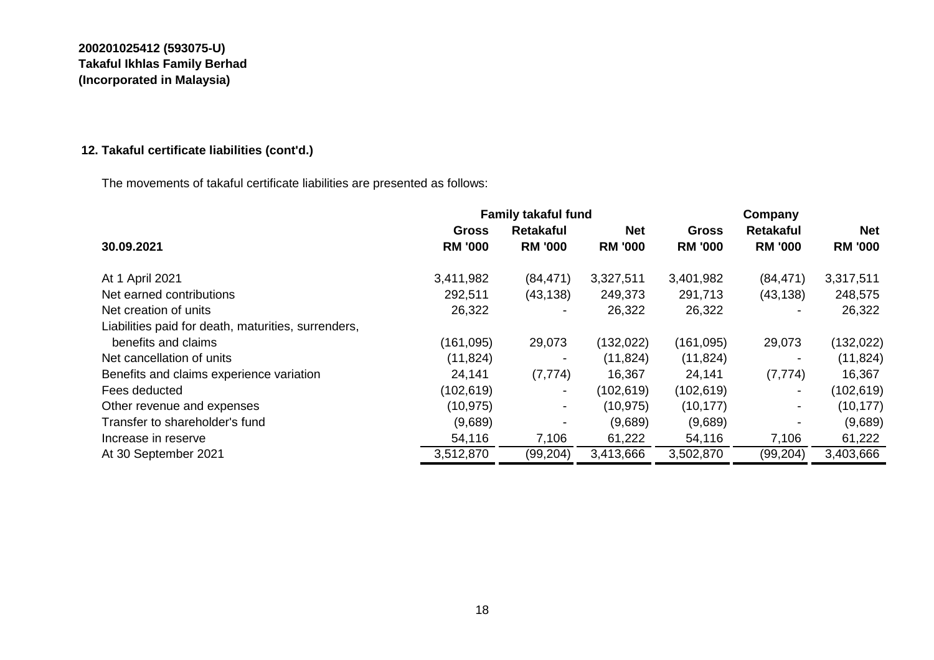# **12. Takaful certificate liabilities (cont'd.)**

The movements of takaful certificate liabilities are presented as follows:

|                                                     |                | <b>Family takaful fund</b> |                | Company        |                          |                |  |
|-----------------------------------------------------|----------------|----------------------------|----------------|----------------|--------------------------|----------------|--|
|                                                     | <b>Gross</b>   | <b>Retakaful</b>           | <b>Net</b>     | <b>Gross</b>   | <b>Retakaful</b>         | <b>Net</b>     |  |
| 30.09.2021                                          | <b>RM '000</b> | <b>RM '000</b>             | <b>RM '000</b> | <b>RM '000</b> | <b>RM '000</b>           | <b>RM '000</b> |  |
| At 1 April 2021                                     | 3,411,982      | (84, 471)                  | 3,327,511      | 3,401,982      | (84, 471)                | 3,317,511      |  |
| Net earned contributions                            | 292,511        | (43, 138)                  | 249,373        | 291,713        | (43, 138)                | 248,575        |  |
| Net creation of units                               | 26,322         |                            | 26,322         | 26,322         |                          | 26,322         |  |
| Liabilities paid for death, maturities, surrenders, |                |                            |                |                |                          |                |  |
| benefits and claims                                 | (161, 095)     | 29,073                     | (132, 022)     | (161,095)      | 29,073                   | (132, 022)     |  |
| Net cancellation of units                           | (11, 824)      |                            | (11, 824)      | (11, 824)      | $\overline{\phantom{a}}$ | (11, 824)      |  |
| Benefits and claims experience variation            | 24,141         | (7, 774)                   | 16,367         | 24,141         | (7, 774)                 | 16,367         |  |
| Fees deducted                                       | (102, 619)     | $\sim$                     | (102, 619)     | (102, 619)     | $\sim$                   | (102, 619)     |  |
| Other revenue and expenses                          | (10, 975)      | $\overline{\phantom{a}}$   | (10, 975)      | (10, 177)      | ٠                        | (10, 177)      |  |
| Transfer to shareholder's fund                      | (9,689)        | $\overline{\phantom{a}}$   | (9,689)        | (9,689)        | $\overline{\phantom{a}}$ | (9,689)        |  |
| Increase in reserve                                 | 54,116         | 7,106                      | 61,222         | 54,116         | 7,106                    | 61,222         |  |
| At 30 September 2021                                | 3,512,870      | (99, 204)                  | 3,413,666      | 3,502,870      | (99,204)                 | 3,403,666      |  |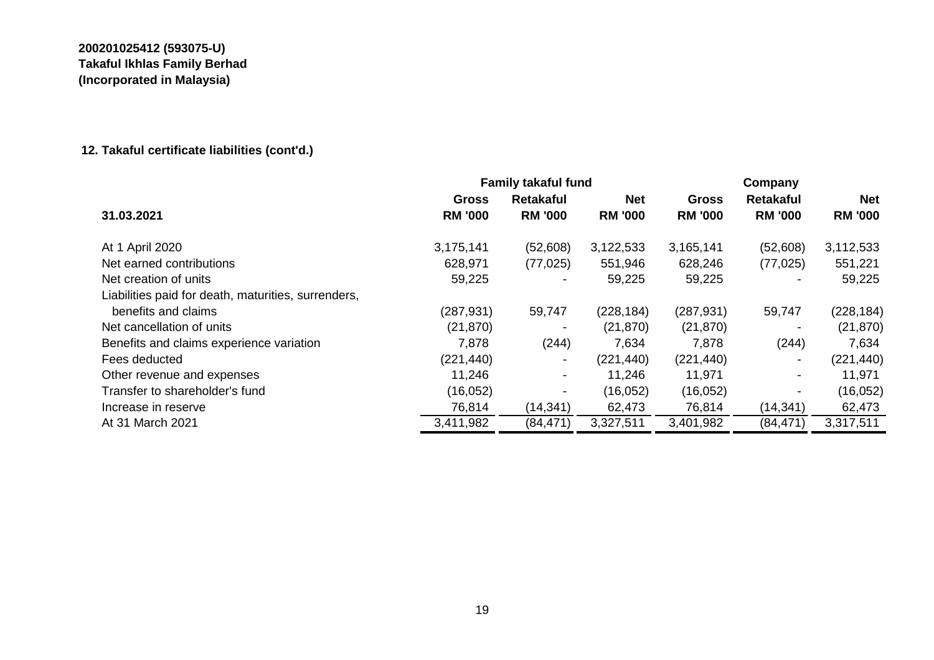# **12. Takaful certificate liabilities (cont'd.)**

|                                                     |                | <b>Family takaful fund</b> |                |                |                          | Company        |  |  |
|-----------------------------------------------------|----------------|----------------------------|----------------|----------------|--------------------------|----------------|--|--|
|                                                     | <b>Gross</b>   | <b>Retakaful</b>           | <b>Net</b>     | <b>Gross</b>   | <b>Retakaful</b>         | <b>Net</b>     |  |  |
| 31.03.2021                                          | <b>RM '000</b> | <b>RM '000</b>             | <b>RM '000</b> | <b>RM '000</b> | <b>RM '000</b>           | <b>RM '000</b> |  |  |
| At 1 April 2020                                     | 3,175,141      | (52,608)                   | 3,122,533      | 3,165,141      | (52,608)                 | 3,112,533      |  |  |
| Net earned contributions                            | 628,971        | (77, 025)                  | 551,946        | 628,246        | (77, 025)                | 551,221        |  |  |
| Net creation of units                               | 59,225         | $\blacksquare$             | 59,225         | 59,225         | $\blacksquare$           | 59,225         |  |  |
| Liabilities paid for death, maturities, surrenders, |                |                            |                |                |                          |                |  |  |
| benefits and claims                                 | (287, 931)     | 59,747                     | (228, 184)     | (287, 931)     | 59,747                   | (228, 184)     |  |  |
| Net cancellation of units                           | (21, 870)      |                            | (21, 870)      | (21, 870)      | $\overline{\phantom{a}}$ | (21, 870)      |  |  |
| Benefits and claims experience variation            | 7,878          | (244)                      | 7,634          | 7,878          | (244)                    | 7,634          |  |  |
| Fees deducted                                       | (221, 440)     | $\blacksquare$             | (221, 440)     | (221, 440)     | $\overline{\phantom{a}}$ | (221, 440)     |  |  |
| Other revenue and expenses                          | 11,246         | $\overline{\phantom{a}}$   | 11,246         | 11,971         | $\overline{\phantom{a}}$ | 11,971         |  |  |
| Transfer to shareholder's fund                      | (16, 052)      | $\blacksquare$             | (16,052)       | (16,052)       | -                        | (16, 052)      |  |  |
| Increase in reserve                                 | 76,814         | (14, 341)                  | 62,473         | 76,814         | (14, 341)                | 62,473         |  |  |
| At 31 March 2021                                    | 3,411,982      | (84, 471)                  | 3,327,511      | 3,401,982      | (84, 471)                | 3,317,511      |  |  |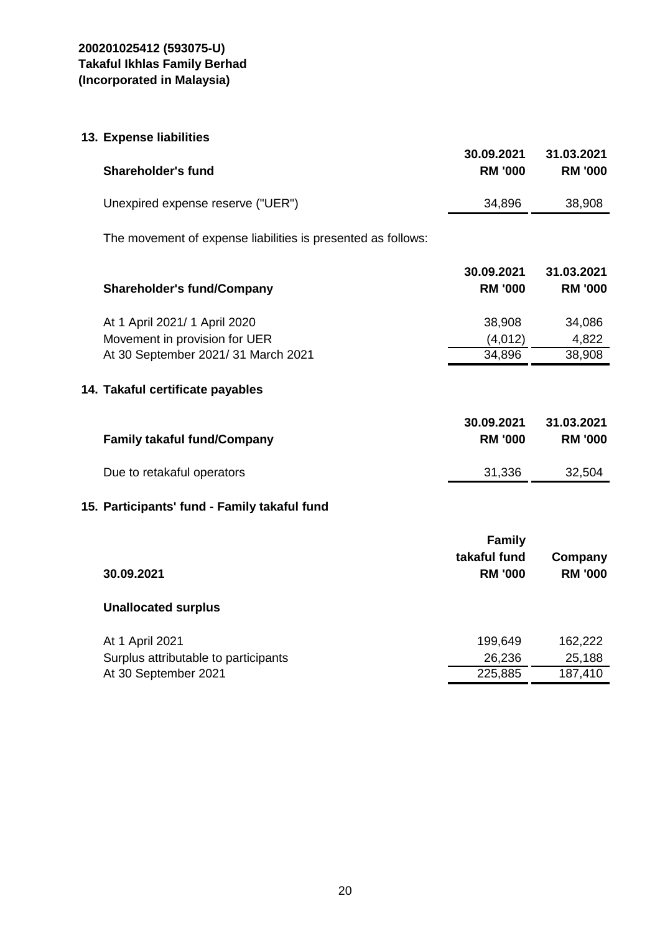| 13. Expense liabilities |  |
|-------------------------|--|
|-------------------------|--|

| <b>Shareholder's fund</b>                                      | 30.09.2021<br><b>RM '000</b>                    | 31.03.2021<br><b>RM '000</b> |
|----------------------------------------------------------------|-------------------------------------------------|------------------------------|
| Unexpired expense reserve ("UER")                              | 34,896                                          | 38,908                       |
| The movement of expense liabilities is presented as follows:   |                                                 |                              |
| <b>Shareholder's fund/Company</b>                              | 30.09.2021<br><b>RM '000</b>                    | 31.03.2021<br><b>RM '000</b> |
| At 1 April 2021/ 1 April 2020<br>Movement in provision for UER | 38,908<br>(4,012)                               | 34,086<br>4,822              |
| At 30 September 2021/31 March 2021                             | 34,896                                          | 38,908                       |
| 14. Takaful certificate payables                               |                                                 |                              |
| <b>Family takaful fund/Company</b>                             | 30.09.2021<br><b>RM '000</b>                    | 31.03.2021<br><b>RM '000</b> |
| Due to retakaful operators                                     | 31,336                                          | 32,504                       |
| 15. Participants' fund - Family takaful fund                   |                                                 |                              |
| 30.09.2021                                                     | <b>Family</b><br>takaful fund<br><b>RM '000</b> | Company<br><b>RM '000</b>    |
| <b>Unallocated surplus</b>                                     |                                                 |                              |
| At 1 April 2021<br>Surplus attributable to participants        | 199,649<br>26,236                               | 162,222<br>25,188            |
| At 30 September 2021                                           | 225,885                                         | 187,410                      |
|                                                                |                                                 |                              |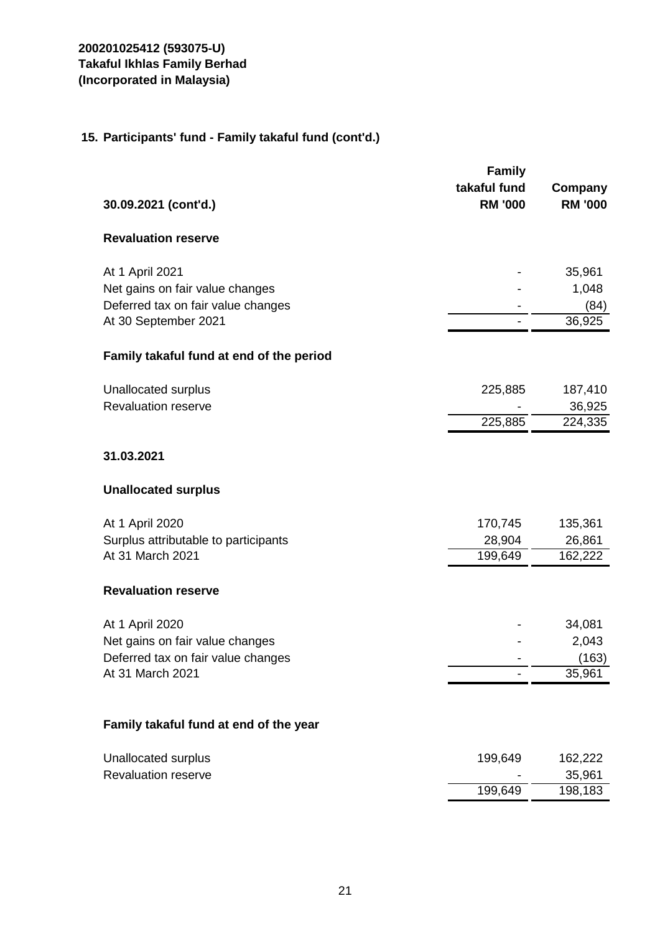# **15. Participants' fund - Family takaful fund (cont'd.)**

| 30.09.2021 (cont'd.)                     | <b>Family</b><br>takaful fund<br><b>RM '000</b> | Company<br><b>RM '000</b> |
|------------------------------------------|-------------------------------------------------|---------------------------|
| <b>Revaluation reserve</b>               |                                                 |                           |
| At 1 April 2021                          |                                                 | 35,961                    |
| Net gains on fair value changes          |                                                 | 1,048                     |
| Deferred tax on fair value changes       |                                                 | (84)                      |
| At 30 September 2021                     |                                                 | 36,925                    |
| Family takaful fund at end of the period |                                                 |                           |
| <b>Unallocated surplus</b>               | 225,885                                         | 187,410                   |
| <b>Revaluation reserve</b>               |                                                 | 36,925                    |
|                                          | 225,885                                         | 224,335                   |
| 31.03.2021                               |                                                 |                           |
| <b>Unallocated surplus</b>               |                                                 |                           |
| At 1 April 2020                          | 170,745                                         | 135,361                   |
| Surplus attributable to participants     | 28,904                                          | 26,861                    |
| At 31 March 2021                         | 199,649                                         | 162,222                   |
| <b>Revaluation reserve</b>               |                                                 |                           |
| At 1 April 2020                          |                                                 | 34,081                    |
| Net gains on fair value changes          |                                                 | 2,043                     |
| Deferred tax on fair value changes       |                                                 | (163)                     |
| At 31 March 2021                         |                                                 | 35,961                    |
| Family takaful fund at end of the year   |                                                 |                           |
|                                          |                                                 |                           |
| Unallocated surplus                      | 199,649                                         | 162,222                   |
| <b>Revaluation reserve</b>               |                                                 | 35,961                    |
|                                          | 199,649                                         | 198,183                   |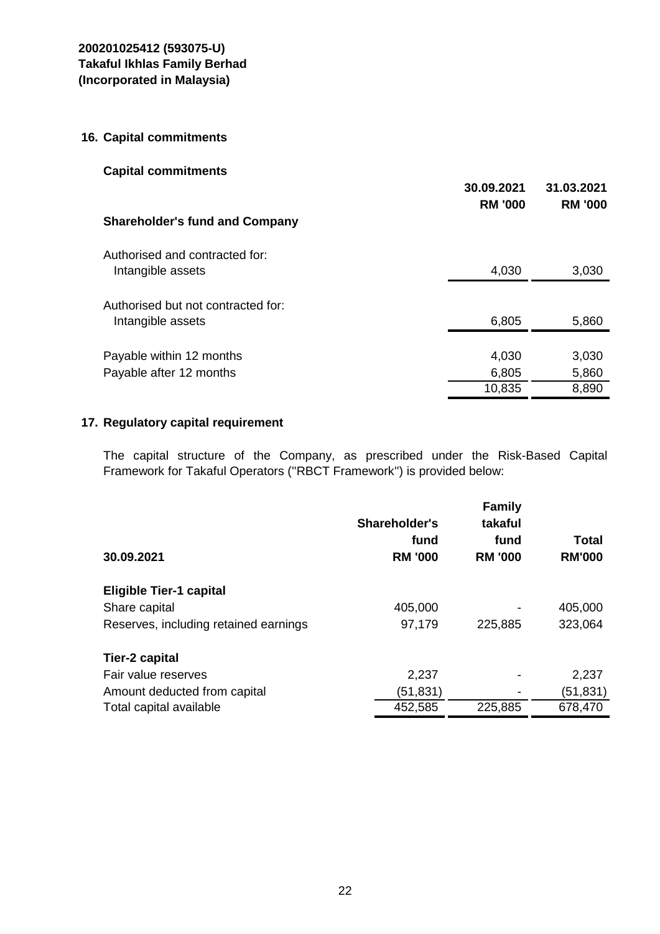### **16. Capital commitments**

| <b>Capital commitments</b>            |                |                |
|---------------------------------------|----------------|----------------|
|                                       | 30.09.2021     | 31.03.2021     |
|                                       | <b>RM '000</b> | <b>RM '000</b> |
| <b>Shareholder's fund and Company</b> |                |                |
| Authorised and contracted for:        |                |                |
| Intangible assets                     | 4,030          | 3,030          |
|                                       |                |                |
| Authorised but not contracted for:    |                |                |
| Intangible assets                     | 6,805          | 5,860          |
|                                       |                |                |
| Payable within 12 months              | 4,030          | 3,030          |
| Payable after 12 months               | 6,805          | 5,860          |
|                                       | 10,835         | 8,890          |

## **17. Regulatory capital requirement**

The capital structure of the Company, as prescribed under the Risk-Based Capital Framework for Takaful Operators (''RBCT Framework'') is provided below:

| 30.09.2021                            | <b>Shareholder's</b><br>fund<br><b>RM '000</b> | <b>Family</b><br>takaful<br>fund<br><b>RM '000</b> | Total<br><b>RM'000</b> |
|---------------------------------------|------------------------------------------------|----------------------------------------------------|------------------------|
| <b>Eligible Tier-1 capital</b>        |                                                |                                                    |                        |
| Share capital                         | 405,000                                        |                                                    | 405,000                |
| Reserves, including retained earnings | 97,179                                         | 225,885                                            | 323,064                |
| Tier-2 capital                        |                                                |                                                    |                        |
| Fair value reserves                   | 2,237                                          |                                                    | 2,237                  |
| Amount deducted from capital          | (51,831)                                       |                                                    | (51,831)               |
| Total capital available               | 452,585                                        | 225,885                                            | 678,470                |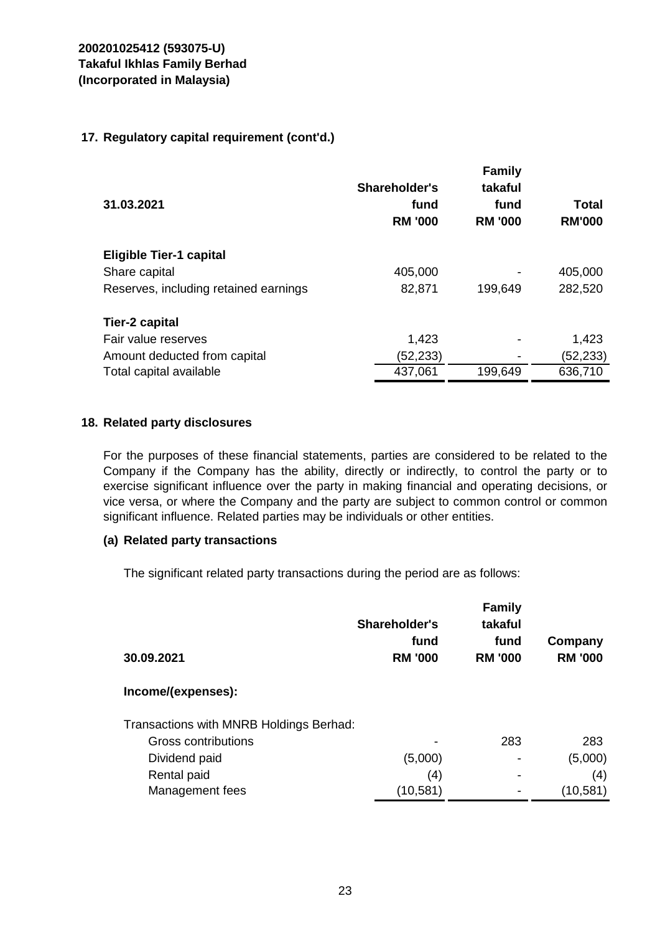### **17. Regulatory capital requirement (cont'd.)**

| 31.03.2021                            | Shareholder's<br>fund<br><b>RM '000</b> | <b>Family</b><br>takaful<br>fund<br><b>RM '000</b> | Total<br><b>RM'000</b> |
|---------------------------------------|-----------------------------------------|----------------------------------------------------|------------------------|
| <b>Eligible Tier-1 capital</b>        |                                         |                                                    |                        |
| Share capital                         | 405,000                                 |                                                    | 405,000                |
| Reserves, including retained earnings | 82,871                                  | 199,649                                            | 282,520                |
| <b>Tier-2 capital</b>                 |                                         |                                                    |                        |
| Fair value reserves                   | 1,423                                   |                                                    | 1,423                  |
| Amount deducted from capital          | (52, 233)                               |                                                    | (52, 233)              |
| Total capital available               | 437,061                                 | 199,649                                            | 636,710                |

### **18. Related party disclosures**

For the purposes of these financial statements, parties are considered to be related to the Company if the Company has the ability, directly or indirectly, to control the party or to exercise significant influence over the party in making financial and operating decisions, or vice versa, or where the Company and the party are subject to common control or common significant influence. Related parties may be individuals or other entities.

### **(a) Related party transactions**

The significant related party transactions during the period are as follows:

| 30.09.2021                              | Shareholder's<br>fund<br><b>RM '000</b> | <b>Family</b><br>takaful<br>fund<br><b>RM '000</b> | Company<br><b>RM '000</b> |
|-----------------------------------------|-----------------------------------------|----------------------------------------------------|---------------------------|
| Income/(expenses):                      |                                         |                                                    |                           |
| Transactions with MNRB Holdings Berhad: |                                         |                                                    |                           |
| Gross contributions                     |                                         | 283                                                | 283                       |
| Dividend paid                           | (5,000)                                 | ۰                                                  | (5,000)                   |
| Rental paid                             | (4)                                     | $\overline{\phantom{0}}$                           | (4)                       |
| Management fees                         | (10,581)                                |                                                    | (10, 581)                 |
|                                         |                                         |                                                    |                           |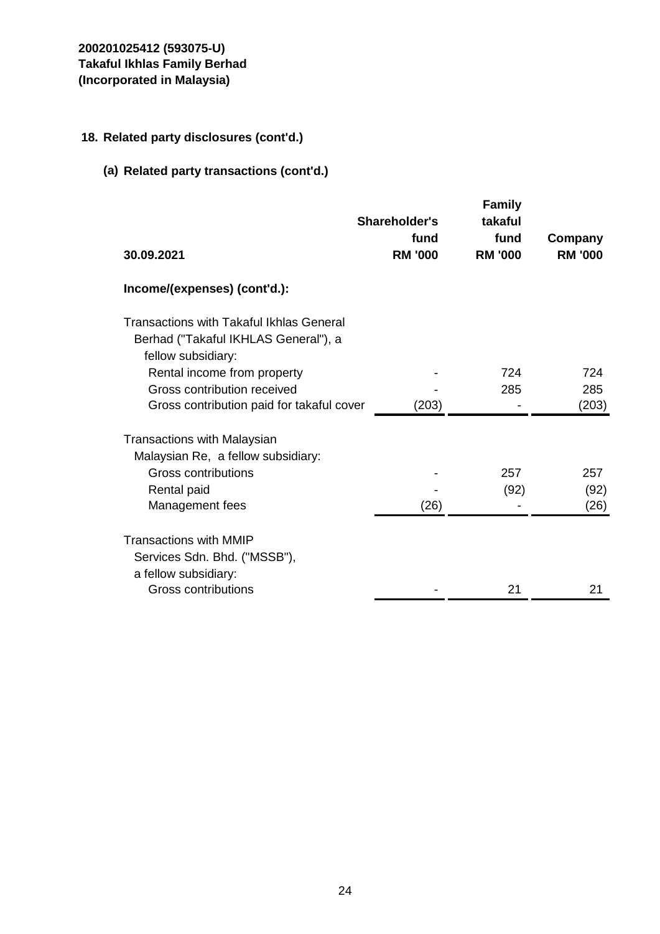## **18. Related party disclosures (cont'd.)**

# **(a) Related party transactions (cont'd.)**

| 30.09.2021                                                                                                                        | Shareholder's<br>fund<br><b>RM '000</b> | Family<br>takaful<br>fund<br><b>RM '000</b> | Company<br><b>RM '000</b> |
|-----------------------------------------------------------------------------------------------------------------------------------|-----------------------------------------|---------------------------------------------|---------------------------|
| Income/(expenses) (cont'd.):                                                                                                      |                                         |                                             |                           |
|                                                                                                                                   |                                         |                                             |                           |
| Transactions with Takaful Ikhlas General<br>Berhad ("Takaful IKHLAS General"), a<br>fellow subsidiary:                            |                                         |                                             |                           |
| Rental income from property                                                                                                       |                                         | 724                                         | 724                       |
| Gross contribution received                                                                                                       |                                         | 285                                         | 285                       |
| Gross contribution paid for takaful cover                                                                                         | (203)                                   |                                             | (203)                     |
| <b>Transactions with Malaysian</b><br>Malaysian Re, a fellow subsidiary:<br>Gross contributions<br>Rental paid<br>Management fees | (26)                                    | 257<br>(92)                                 | 257<br>(92)<br>(26)       |
|                                                                                                                                   |                                         |                                             |                           |
| <b>Transactions with MMIP</b><br>Services Sdn. Bhd. ("MSSB"),<br>a fellow subsidiary:                                             |                                         |                                             |                           |
| Gross contributions                                                                                                               |                                         | 21                                          | 21                        |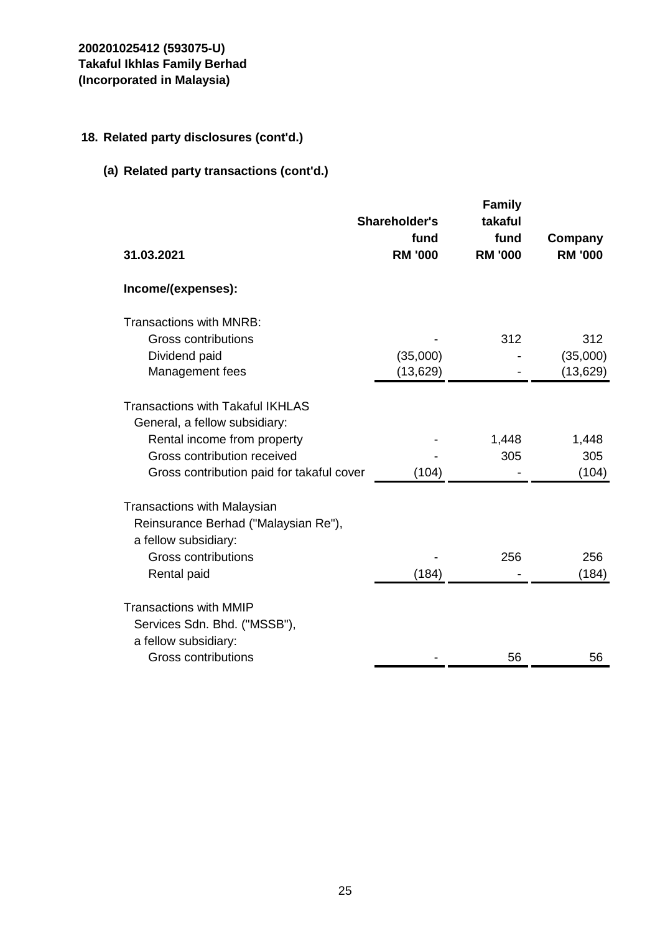## **18. Related party disclosures (cont'd.)**

# **(a) Related party transactions (cont'd.)**

|                                                                                                    | Shareholder's<br>fund | <b>Family</b><br>takaful<br>fund | Company        |
|----------------------------------------------------------------------------------------------------|-----------------------|----------------------------------|----------------|
| 31.03.2021                                                                                         | <b>RM '000</b>        | <b>RM '000</b>                   | <b>RM '000</b> |
| Income/(expenses):                                                                                 |                       |                                  |                |
| Transactions with MNRB:                                                                            |                       |                                  |                |
| Gross contributions                                                                                |                       | 312                              | 312            |
| Dividend paid                                                                                      | (35,000)              |                                  | (35,000)       |
| Management fees                                                                                    | (13, 629)             |                                  | (13, 629)      |
| <b>Transactions with Takaful IKHLAS</b><br>General, a fellow subsidiary:                           |                       |                                  |                |
| Rental income from property                                                                        |                       | 1,448                            | 1,448          |
| Gross contribution received                                                                        |                       | 305                              | 305            |
| Gross contribution paid for takaful cover                                                          | (104)                 |                                  | (104)          |
| <b>Transactions with Malaysian</b><br>Reinsurance Berhad ("Malaysian Re"),<br>a fellow subsidiary: |                       |                                  |                |
| Gross contributions                                                                                |                       | 256                              | 256            |
| Rental paid                                                                                        | (184)                 |                                  | (184)          |
| <b>Transactions with MMIP</b><br>Services Sdn. Bhd. ("MSSB"),<br>a fellow subsidiary:              |                       |                                  |                |
| Gross contributions                                                                                |                       | 56                               | 56             |
|                                                                                                    |                       |                                  |                |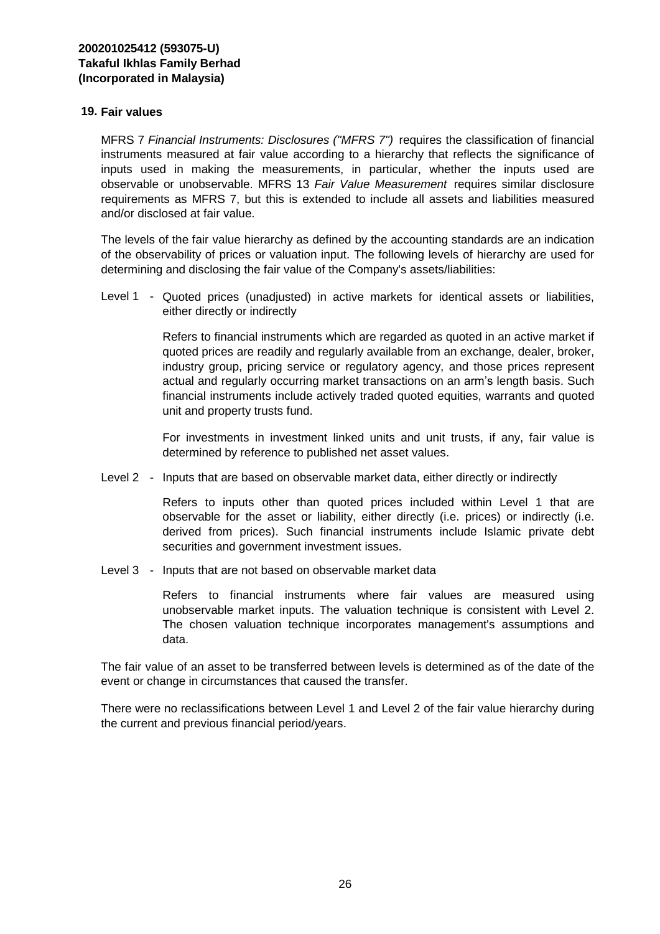#### **19. Fair values**  $T$  relationship relationship relationship relationship relationshipwith relationship relationship relationship relationship relationship relationship relationship relationship relationship relationship relationship relat

MFRS 7 *Financial Instruments: Disclosures ("MFRS 7")* requires the classification of financial instruments measured at fair value according to a hierarchy that reflects the significance of inputs used in making the measurements, in particular, whether the inputs used are observable or unobservable. MFRS 13 *Fair Value Measurement* requires similar disclosure requirements as MFRS 7, but this is extended to include all assets and liabilities measured and/or disclosed at fair value.

The levels of the fair value hierarchy as defined by the accounting standards are an indication of the observability of prices or valuation input. The following levels of hierarchy are used for determining and disclosing the fair value of the Company's assets/liabilities:

Level 1 - Quoted prices (unadjusted) in active markets for identical assets or liabilities, either directly or indirectly andtherelationship relationships relationships relationships relationships relationships relationships relationships relationships relationships relationships relationships relationships relat

> Refers to financial instruments which are regarded as quoted in an active market if quoted prices are readily and regularly available from an exchange, dealer, broker, industry group, pricing service or regulatory agency, and those prices represent actual and regularly occurring market transactions on an arm's length basis. Such financial instruments include actively traded quoted equities, warrants and quoted unit and property trusts fund.

> For investments in investment linked units and unit trusts, if any, fair value is determined by reference to published net asset values.

Level 2 - Inputs that are based on observable market data, either directly or indirectly

Refers to inputs other than quoted prices included within Level 1 that are observable for the asset or liability, either directly (i.e. prices) or indirectly (i.e. derived from prices). Such financial instruments include Islamic private debt securities and government investment issues.

Level 3 - Inputs that are not based on observable market data

Refers to financial instruments where fair values are measured using unobservable market inputs. The valuation technique is consistent with Level 2. The chosen valuation technique incorporates management's assumptions and data.

The fair value of an asset to be transferred between levels is determined as of the date of the event or change in circumstances that caused the transfer.

There were no reclassifications between Level 1 and Level 2 of the fair value hierarchy during the current and previous financial period/years.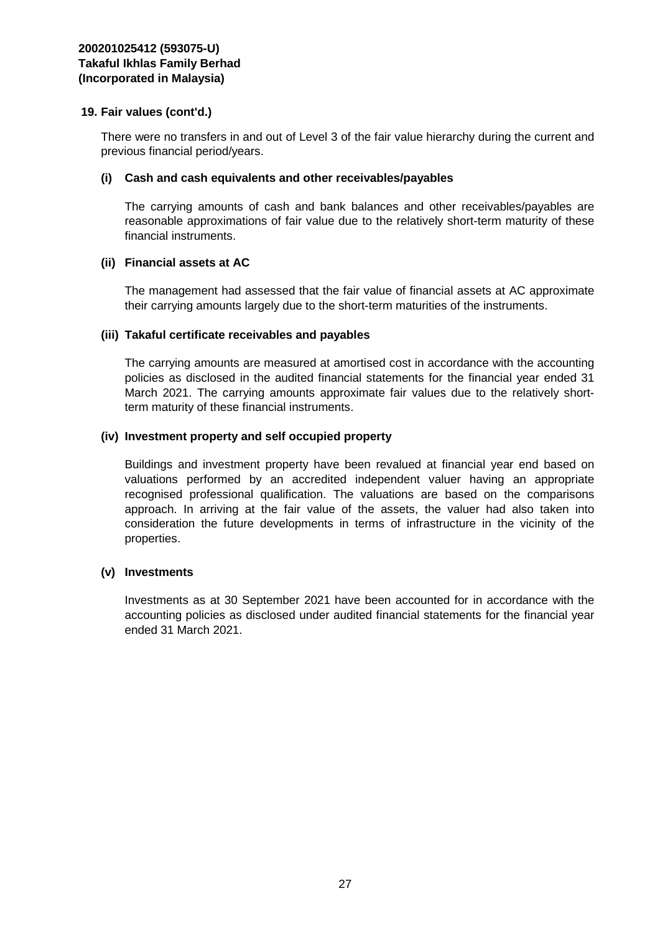There were no transfers in and out of Level 3 of the fair value hierarchy during the current and previous financial period/years.

#### **(i) Cash and cash equivalents and other receivables/payables**

The carrying amounts of cash and bank balances and other receivables/payables are reasonable approximations of fair value due to the relatively short-term maturity of these financial instruments.

#### **(ii) Financial assets at AC**

The management had assessed that the fair value of financial assets at AC approximate their carrying amounts largely due to the short-term maturities of the instruments.

#### **(iii) Takaful certificate receivables and payables**

The carrying amounts are measured at amortised cost in accordance with the accounting policies as disclosed in the audited financial statements for the financial year ended 31 March 2021. The carrying amounts approximate fair values due to the relatively shortterm maturity of these financial instruments.

#### **(iv) Investment property and self occupied property**

Buildings and investment property have been revalued at financial year end based on valuations performed by an accredited independent valuer having an appropriate recognised professional qualification. The valuations are based on the comparisons approach. In arriving at the fair value of the assets, the valuer had also taken into consideration the future developments in terms of infrastructure in the vicinity of the properties.

#### **(v) Investments**

Investments as at 30 September 2021 have been accounted for in accordance with the accounting policies as disclosed under audited financial statements for the financial year ended 31 March 2021.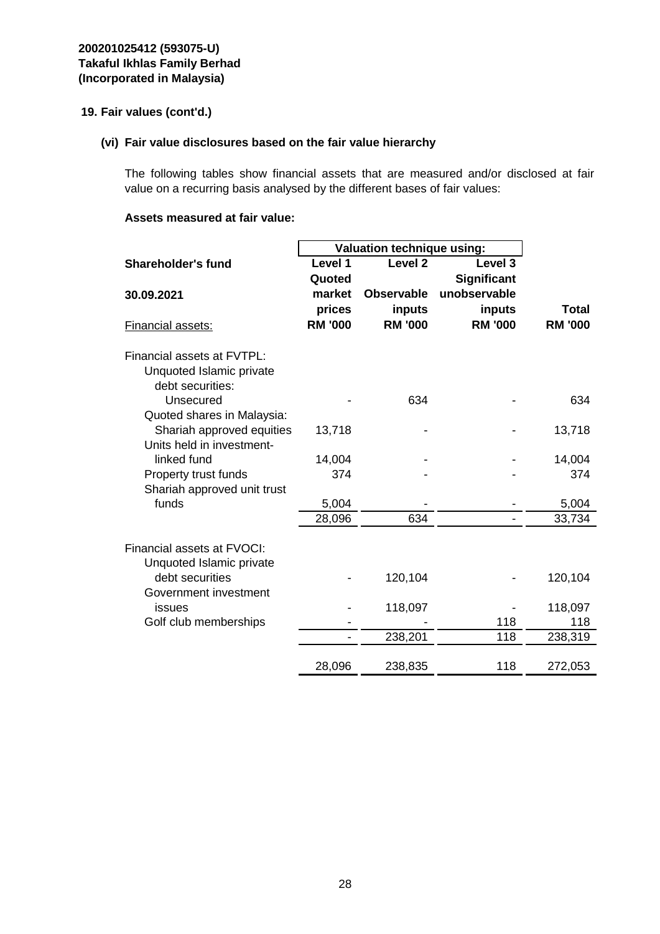### **(vi) Fair value disclosures based on the fair value hierarchy**

The following tables show financial assets that are measured and/or disclosed at fair value on a recurring basis analysed by the different bases of fair values:

#### **Assets measured at fair value:**

|                                             | <b>Valuation technique using:</b> |                    |                |                |  |  |
|---------------------------------------------|-----------------------------------|--------------------|----------------|----------------|--|--|
| <b>Shareholder's fund</b>                   | Level 1                           | Level <sub>2</sub> | Level 3        |                |  |  |
|                                             | Quoted                            |                    | Significant    |                |  |  |
| 30.09.2021                                  | market                            | <b>Observable</b>  | unobservable   |                |  |  |
|                                             | prices                            | inputs             | inputs         | Total          |  |  |
| Financial assets:                           | <b>RM '000</b>                    | <b>RM '000</b>     | <b>RM '000</b> | <b>RM '000</b> |  |  |
| Financial assets at FVTPL:                  |                                   |                    |                |                |  |  |
| Unquoted Islamic private                    |                                   |                    |                |                |  |  |
| debt securities:                            |                                   |                    |                |                |  |  |
| Unsecured                                   |                                   | 634                |                | 634            |  |  |
| Quoted shares in Malaysia:                  |                                   |                    |                |                |  |  |
| Shariah approved equities                   | 13,718                            |                    |                | 13,718         |  |  |
| Units held in investment-                   |                                   |                    |                |                |  |  |
| linked fund                                 | 14,004                            |                    |                | 14,004         |  |  |
| Property trust funds                        | 374                               |                    |                | 374            |  |  |
| Shariah approved unit trust                 |                                   |                    |                |                |  |  |
| funds                                       | 5,004                             |                    |                | 5,004          |  |  |
|                                             | 28,096                            | 634                |                | 33,734         |  |  |
|                                             |                                   |                    |                |                |  |  |
| Financial assets at FVOCI:                  |                                   |                    |                |                |  |  |
| Unquoted Islamic private<br>debt securities |                                   |                    |                |                |  |  |
| Government investment                       |                                   | 120,104            |                | 120,104        |  |  |
| issues                                      |                                   | 118,097            |                | 118,097        |  |  |
| Golf club memberships                       |                                   |                    | 118            | 118            |  |  |
|                                             |                                   | 238,201            | 118            | 238,319        |  |  |
|                                             |                                   |                    |                |                |  |  |
|                                             | 28,096                            | 238,835            | 118            | 272,053        |  |  |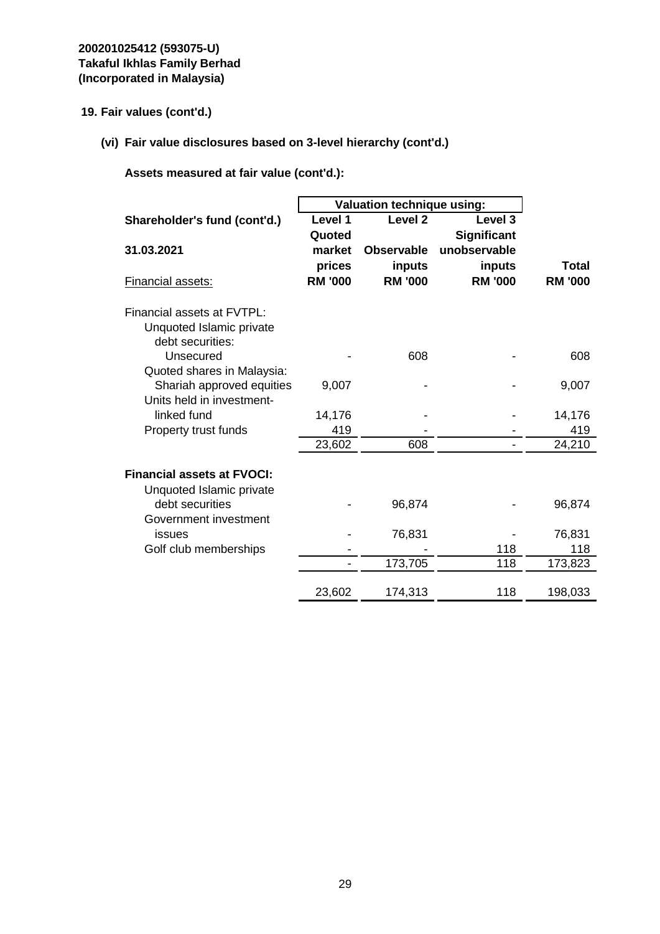**(vi) Fair value disclosures based on 3-level hierarchy (cont'd.)**

|                                                               | Valuation technique using: |                          |                                    |                                |
|---------------------------------------------------------------|----------------------------|--------------------------|------------------------------------|--------------------------------|
| Shareholder's fund (cont'd.)                                  | Level 1                    | Level <sub>2</sub>       | Level <sub>3</sub>                 |                                |
| 31.03.2021                                                    | Quoted<br>market           | <b>Observable</b>        | <b>Significant</b><br>unobservable |                                |
| Financial assets:                                             | prices<br><b>RM '000</b>   | inputs<br><b>RM '000</b> | inputs<br><b>RM '000</b>           | <b>Total</b><br><b>RM '000</b> |
| Financial assets at FVTPL:                                    |                            |                          |                                    |                                |
| Unquoted Islamic private<br>debt securities:                  |                            |                          |                                    |                                |
| Unsecured                                                     |                            | 608                      |                                    | 608                            |
| Quoted shares in Malaysia:<br>Shariah approved equities       | 9,007                      |                          |                                    | 9,007                          |
| Units held in investment-<br>linked fund                      | 14,176                     |                          |                                    | 14,176                         |
| Property trust funds                                          | 419                        |                          |                                    | 419                            |
|                                                               | 23,602                     | 608                      |                                    | 24,210                         |
| <b>Financial assets at FVOCI:</b><br>Unquoted Islamic private |                            |                          |                                    |                                |
| debt securities                                               |                            | 96,874                   |                                    | 96,874                         |
| Government investment<br>issues                               |                            | 76,831                   |                                    | 76,831                         |
| Golf club memberships                                         |                            |                          | 118                                | 118                            |
|                                                               |                            | 173,705                  | 118                                | 173,823                        |
|                                                               | 23,602                     | 174,313                  | 118                                | 198,033                        |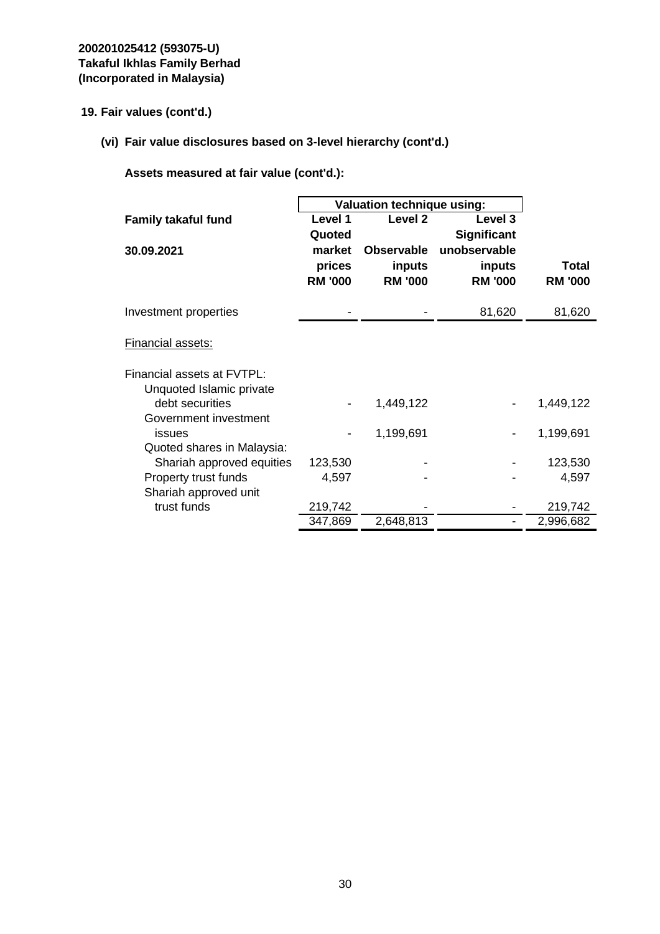**(vi) Fair value disclosures based on 3-level hierarchy (cont'd.)**

|                            | <b>Valuation technique using:</b> |                    |                    |                |
|----------------------------|-----------------------------------|--------------------|--------------------|----------------|
| <b>Family takaful fund</b> | Level 1                           | Level <sub>2</sub> | Level 3            |                |
|                            | Quoted                            |                    | <b>Significant</b> |                |
| 30.09.2021                 | market                            | <b>Observable</b>  | unobservable       |                |
|                            | prices                            | inputs             | inputs             | Total          |
|                            | <b>RM '000</b>                    | <b>RM '000</b>     | <b>RM '000</b>     | <b>RM '000</b> |
| Investment properties      |                                   |                    | 81,620             | 81,620         |
| Financial assets:          |                                   |                    |                    |                |
| Financial assets at FVTPL: |                                   |                    |                    |                |
| Unquoted Islamic private   |                                   |                    |                    |                |
| debt securities            |                                   | 1,449,122          |                    | 1,449,122      |
| Government investment      |                                   |                    |                    |                |
| issues                     |                                   | 1,199,691          |                    | 1,199,691      |
| Quoted shares in Malaysia: |                                   |                    |                    |                |
| Shariah approved equities  | 123,530                           |                    |                    | 123,530        |
| Property trust funds       | 4,597                             |                    |                    | 4,597          |
| Shariah approved unit      |                                   |                    |                    |                |
| trust funds                | 219,742                           |                    |                    | 219,742        |
|                            | 347,869                           | 2,648,813          |                    | 2,996,682      |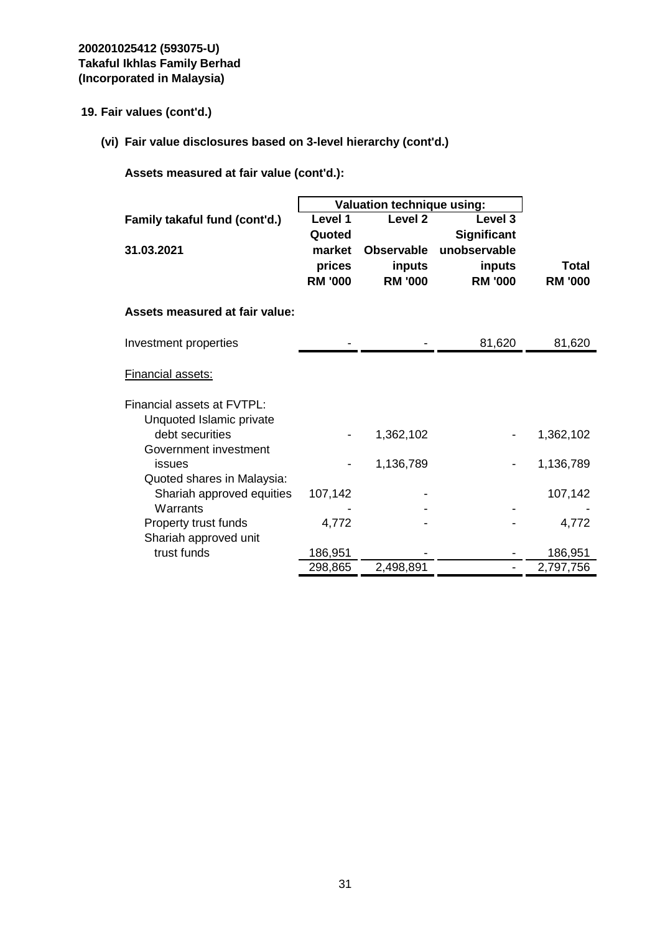**(vi) Fair value disclosures based on 3-level hierarchy (cont'd.)**

|                                |                | Valuation technique using: |                    |                |  |
|--------------------------------|----------------|----------------------------|--------------------|----------------|--|
| Family takaful fund (cont'd.)  | Level 1        | Level <sub>2</sub>         | Level <sub>3</sub> |                |  |
|                                | Quoted         |                            | <b>Significant</b> |                |  |
| 31.03.2021                     | market         | <b>Observable</b>          | unobservable       |                |  |
|                                | prices         | inputs                     | inputs             | Total          |  |
|                                | <b>RM '000</b> | <b>RM '000</b>             | <b>RM '000</b>     | <b>RM '000</b> |  |
| Assets measured at fair value: |                |                            |                    |                |  |
| Investment properties          |                |                            | 81,620             | 81,620         |  |
| <b>Financial assets:</b>       |                |                            |                    |                |  |
| Financial assets at FVTPL:     |                |                            |                    |                |  |
| Unquoted Islamic private       |                |                            |                    |                |  |
| debt securities                |                | 1,362,102                  |                    | 1,362,102      |  |
| Government investment          |                |                            |                    |                |  |
| issues                         |                | 1,136,789                  |                    | 1,136,789      |  |
| Quoted shares in Malaysia:     |                |                            |                    |                |  |
| Shariah approved equities      | 107,142        |                            |                    | 107,142        |  |
| Warrants                       |                |                            |                    |                |  |
| Property trust funds           | 4,772          |                            |                    | 4,772          |  |
| Shariah approved unit          |                |                            |                    |                |  |
| trust funds                    | 186,951        |                            |                    | 186,951        |  |
|                                | 298,865        | 2,498,891                  |                    | 2,797,756      |  |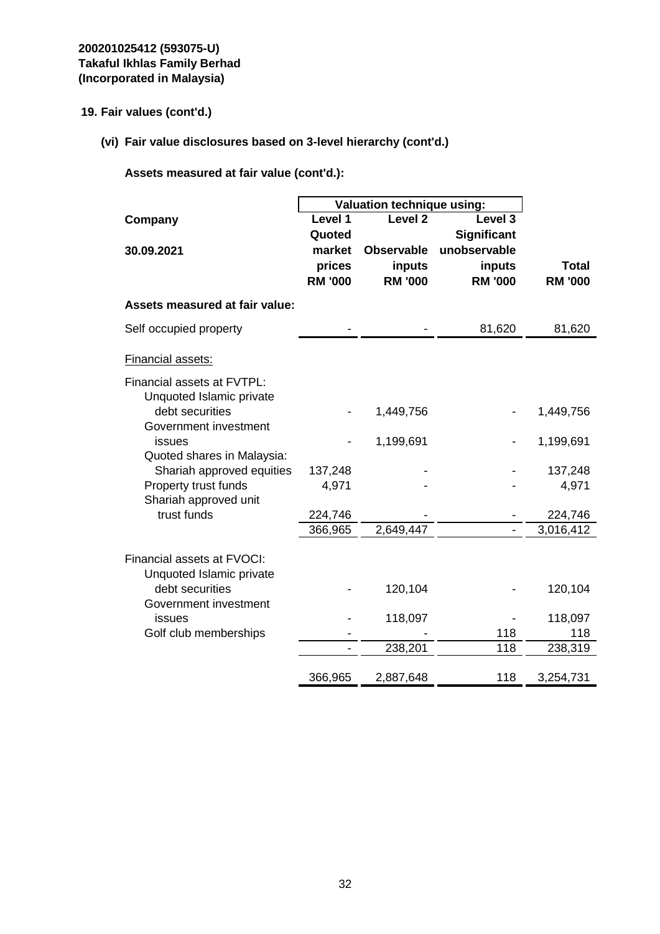**(vi) Fair value disclosures based on 3-level hierarchy (cont'd.)**

|                                                        | Valuation technique using: |                    |                    |                |
|--------------------------------------------------------|----------------------------|--------------------|--------------------|----------------|
| Company                                                | Level 1                    | Level <sub>2</sub> | Level <sub>3</sub> |                |
|                                                        | Quoted                     |                    | Significant        |                |
| 30.09.2021                                             | market                     | <b>Observable</b>  | unobservable       |                |
|                                                        | prices                     | inputs             | inputs             | <b>Total</b>   |
|                                                        | <b>RM '000</b>             | <b>RM '000</b>     | <b>RM '000</b>     | <b>RM '000</b> |
| <b>Assets measured at fair value:</b>                  |                            |                    |                    |                |
| Self occupied property                                 |                            |                    | 81,620             | 81,620         |
| <b>Financial assets:</b>                               |                            |                    |                    |                |
| Financial assets at FVTPL:                             |                            |                    |                    |                |
| Unquoted Islamic private                               |                            |                    |                    |                |
| debt securities                                        |                            | 1,449,756          |                    | 1,449,756      |
| Government investment                                  |                            | 1,199,691          |                    |                |
| issues<br>Quoted shares in Malaysia:                   |                            |                    |                    | 1,199,691      |
| Shariah approved equities                              | 137,248                    |                    |                    | 137,248        |
| Property trust funds                                   | 4,971                      |                    |                    | 4,971          |
| Shariah approved unit                                  |                            |                    |                    |                |
| trust funds                                            | 224,746                    |                    |                    | 224,746        |
|                                                        | 366,965                    | 2,649,447          | $\qquad \qquad -$  | 3,016,412      |
|                                                        |                            |                    |                    |                |
| Financial assets at FVOCI:<br>Unquoted Islamic private |                            |                    |                    |                |
| debt securities                                        |                            | 120,104            |                    | 120,104        |
| Government investment                                  |                            |                    |                    |                |
| issues                                                 |                            | 118,097            |                    | 118,097        |
| Golf club memberships                                  |                            |                    | 118                | 118            |
|                                                        | $\overline{\phantom{0}}$   | 238,201            | 118                | 238,319        |
|                                                        | 366,965                    | 2,887,648          | 118                | 3,254,731      |